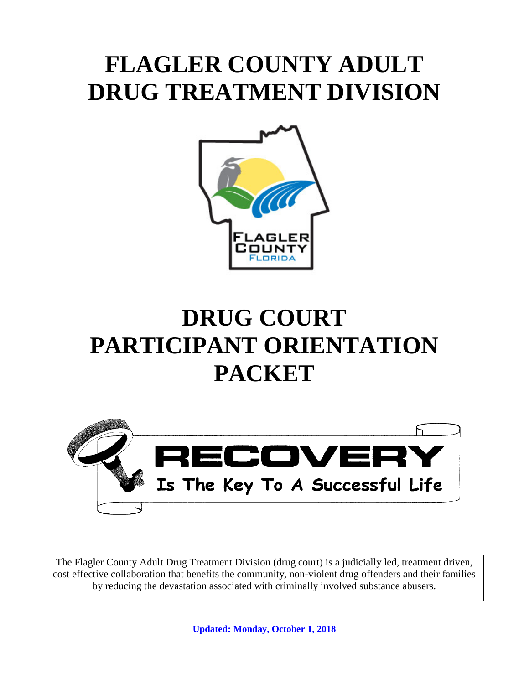# **FLAGLER COUNTY ADULT DRUG TREATMENT DIVISION**



# **DRUG COURT PARTICIPANT ORIENTATION PACKET**



The Flagler County Adult Drug Treatment Division (drug court) is a judicially led, treatment driven, cost effective collaboration that benefits the community, non-violent drug offenders and their families by reducing the devastation associated with criminally involved substance abusers.

**Updated: Monday, October 1, 2018**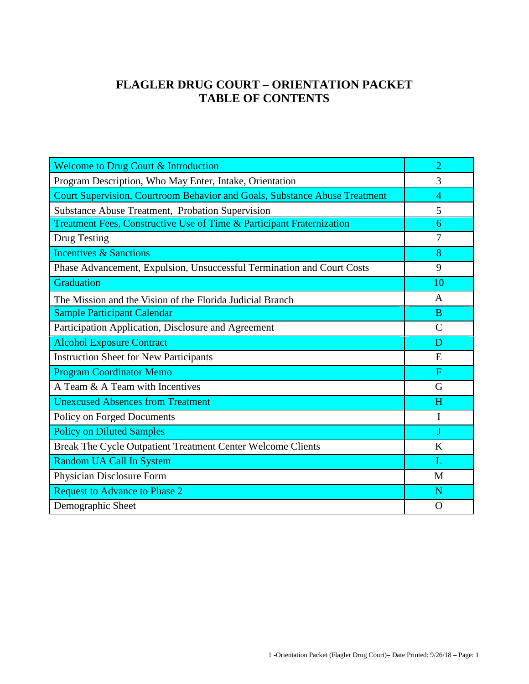## **FLAGLER DRUG COURT – ORIENTATION PACKET TABLE OF CONTENTS**

| <b>Welcome to Drug Court &amp; Introduction</b>                            | $\overline{2}$ |
|----------------------------------------------------------------------------|----------------|
| Program Description, Who May Enter, Intake, Orientation                    | 3              |
| Court Supervision, Courtroom Behavior and Goals, Substance Abuse Treatment | $\overline{4}$ |
| Substance Abuse Treatment, Probation Supervision                           | 5              |
| Treatment Fees, Constructive Use of Time & Participant Fraternization      | 6              |
| Drug Testing                                                               | $\overline{7}$ |
| <b>Incentives &amp; Sanctions</b>                                          | 8              |
| Phase Advancement, Expulsion, Unsuccessful Termination and Court Costs     | 9              |
| Graduation                                                                 | 10             |
| The Mission and the Vision of the Florida Judicial Branch                  | $\mathsf{A}$   |
| <b>Sample Participant Calendar</b>                                         | B              |
| Participation Application, Disclosure and Agreement                        | $\mathsf{C}$   |
| <b>Alcohol Exposure Contract</b>                                           | D              |
| <b>Instruction Sheet for New Participants</b>                              | E              |
| <b>Program Coordinator Memo</b>                                            | $\overline{F}$ |
| A Team & A Team with Incentives                                            | G              |
| <b>Unexcused Absences from Treatment</b>                                   | H              |
| Policy on Forged Documents                                                 | I              |
| <b>Policy on Diluted Samples</b>                                           | J              |
| Break The Cycle Outpatient Treatment Center Welcome Clients                | K              |
| Random UA Call In System                                                   | L              |
| Physician Disclosure Form                                                  | M              |
| <b>Request to Advance to Phase 2</b>                                       | N              |
| Demographic Sheet                                                          | $\Omega$       |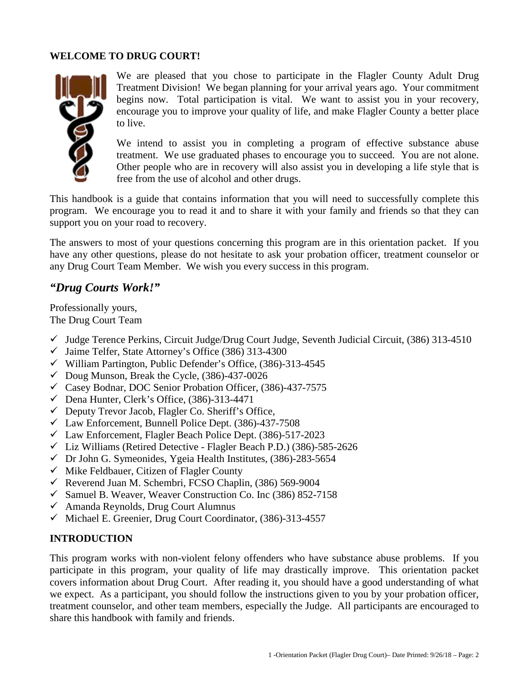#### **WELCOME TO DRUG COURT!**



We are pleased that you chose to participate in the Flagler County Adult Drug Treatment Division! We began planning for your arrival years ago. Your commitment begins now. Total participation is vital. We want to assist you in your recovery, encourage you to improve your quality of life, and make Flagler County a better place to live.

We intend to assist you in completing a program of effective substance abuse treatment. We use graduated phases to encourage you to succeed. You are not alone. Other people who are in recovery will also assist you in developing a life style that is free from the use of alcohol and other drugs.

This handbook is a guide that contains information that you will need to successfully complete this program. We encourage you to read it and to share it with your family and friends so that they can support you on your road to recovery.

The answers to most of your questions concerning this program are in this orientation packet. If you have any other questions, please do not hesitate to ask your probation officer, treatment counselor or any Drug Court Team Member. We wish you every success in this program.

#### *"Drug Courts Work!"*

Professionally yours, The Drug Court Team

- $\checkmark$  Judge Terence Perkins, Circuit Judge/Drug Court Judge, Seventh Judicial Circuit, (386) 313-4510
- $\checkmark$  Jaime Telfer, State Attorney's Office (386) 313-4300
- $\checkmark$  William Partington, Public Defender's Office, (386)-313-4545
- $\checkmark$  Doug Munson, Break the Cycle, (386)-437-0026
- Casey Bodnar, DOC Senior Probation Officer, (386)-437-7575
- $\checkmark$  Dena Hunter, Clerk's Office, (386)-313-4471
- $\checkmark$  Deputy Trevor Jacob, Flagler Co. Sheriff's Office,
- $\checkmark$  Law Enforcement, Bunnell Police Dept. (386)-437-7508
- $\checkmark$  Law Enforcement, Flagler Beach Police Dept. (386)-517-2023
- $\checkmark$  Liz Williams (Retired Detective Flagler Beach P.D.) (386)-585-2626
- $\checkmark$  Dr John G. Symeonides, Ygeia Health Institutes, (386)-283-5654
- $\checkmark$  Mike Feldbauer, Citizen of Flagler County
- $\checkmark$  Reverend Juan M. Schembri, FCSO Chaplin, (386) 569-9004
- $\checkmark$  Samuel B. Weaver, Weaver Construction Co. Inc (386) 852-7158
- $\checkmark$  Amanda Reynolds, Drug Court Alumnus
- $\checkmark$  Michael E. Greenier, Drug Court Coordinator, (386)-313-4557

#### **INTRODUCTION**

This program works with non-violent felony offenders who have substance abuse problems. If you participate in this program, your quality of life may drastically improve. This orientation packet covers information about Drug Court. After reading it, you should have a good understanding of what we expect. As a participant, you should follow the instructions given to you by your probation officer, treatment counselor, and other team members, especially the Judge. All participants are encouraged to share this handbook with family and friends.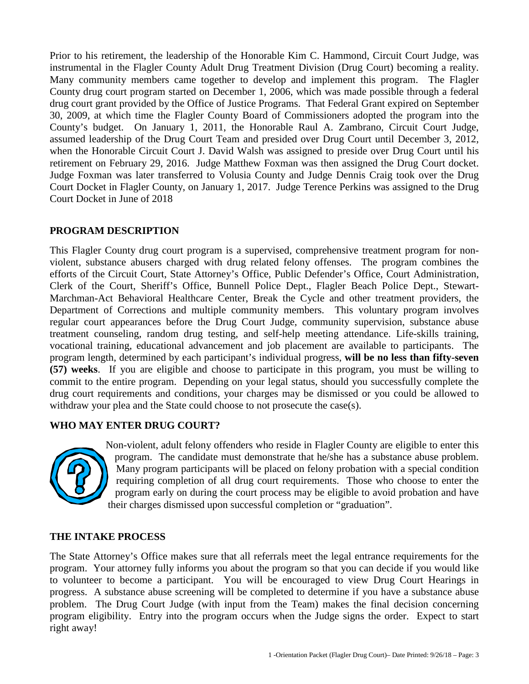Prior to his retirement, the leadership of the Honorable Kim C. Hammond, Circuit Court Judge, was instrumental in the Flagler County Adult Drug Treatment Division (Drug Court) becoming a reality. Many community members came together to develop and implement this program. The Flagler County drug court program started on December 1, 2006, which was made possible through a federal drug court grant provided by the Office of Justice Programs. That Federal Grant expired on September 30, 2009, at which time the Flagler County Board of Commissioners adopted the program into the County's budget. On January 1, 2011, the Honorable Raul A. Zambrano, Circuit Court Judge, assumed leadership of the Drug Court Team and presided over Drug Court until December 3, 2012, when the Honorable Circuit Court J. David Walsh was assigned to preside over Drug Court until his retirement on February 29, 2016. Judge Matthew Foxman was then assigned the Drug Court docket. Judge Foxman was later transferred to Volusia County and Judge Dennis Craig took over the Drug Court Docket in Flagler County, on January 1, 2017. Judge Terence Perkins was assigned to the Drug Court Docket in June of 2018

#### **PROGRAM DESCRIPTION**

This Flagler County drug court program is a supervised, comprehensive treatment program for nonviolent, substance abusers charged with drug related felony offenses. The program combines the efforts of the Circuit Court, State Attorney's Office, Public Defender's Office, Court Administration, Clerk of the Court, Sheriff's Office, Bunnell Police Dept., Flagler Beach Police Dept., Stewart-Marchman-Act Behavioral Healthcare Center, Break the Cycle and other treatment providers, the Department of Corrections and multiple community members. This voluntary program involves regular court appearances before the Drug Court Judge, community supervision, substance abuse treatment counseling, random drug testing, and self-help meeting attendance. Life-skills training, vocational training, educational advancement and job placement are available to participants. The program length, determined by each participant's individual progress, **will be no less than fifty-seven (57) weeks**. If you are eligible and choose to participate in this program, you must be willing to commit to the entire program. Depending on your legal status, should you successfully complete the drug court requirements and conditions, your charges may be dismissed or you could be allowed to withdraw your plea and the State could choose to not prosecute the case(s).

#### **WHO MAY ENTER DRUG COURT?**



Non-violent, adult felony offenders who reside in Flagler County are eligible to enter this program. The candidate must demonstrate that he/she has a substance abuse problem. Many program participants will be placed on felony probation with a special condition requiring completion of all drug court requirements. Those who choose to enter the program early on during the court process may be eligible to avoid probation and have their charges dismissed upon successful completion or "graduation".

#### **THE INTAKE PROCESS**

The State Attorney's Office makes sure that all referrals meet the legal entrance requirements for the program. Your attorney fully informs you about the program so that you can decide if you would like to volunteer to become a participant. You will be encouraged to view Drug Court Hearings in progress. A substance abuse screening will be completed to determine if you have a substance abuse problem. The Drug Court Judge (with input from the Team) makes the final decision concerning program eligibility. Entry into the program occurs when the Judge signs the order. Expect to start right away!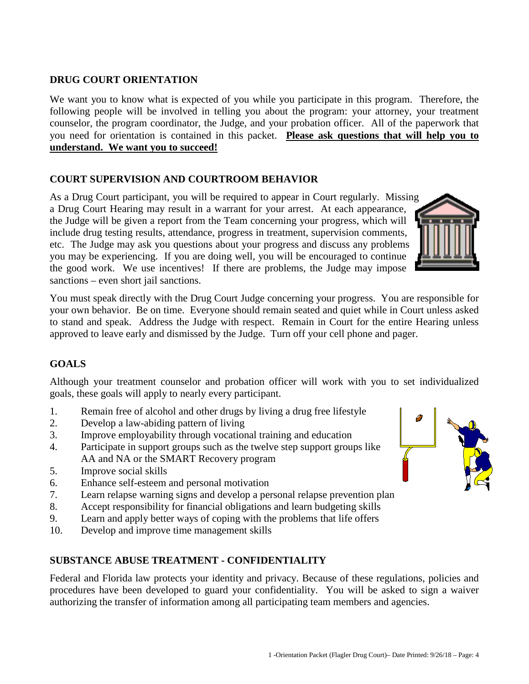#### **DRUG COURT ORIENTATION**

We want you to know what is expected of you while you participate in this program. Therefore, the following people will be involved in telling you about the program: your attorney, your treatment counselor, the program coordinator, the Judge, and your probation officer. All of the paperwork that you need for orientation is contained in this packet. **Please ask questions that will help you to understand. We want you to succeed!**

#### **COURT SUPERVISION AND COURTROOM BEHAVIOR**

As a Drug Court participant, you will be required to appear in Court regularly. Missing a Drug Court Hearing may result in a warrant for your arrest. At each appearance, the Judge will be given a report from the Team concerning your progress, which will include drug testing results, attendance, progress in treatment, supervision comments, etc. The Judge may ask you questions about your progress and discuss any problems you may be experiencing. If you are doing well, you will be encouraged to continue the good work. We use incentives! If there are problems, the Judge may impose sanctions – even short jail sanctions.



You must speak directly with the Drug Court Judge concerning your progress. You are responsible for your own behavior. Be on time. Everyone should remain seated and quiet while in Court unless asked to stand and speak. Address the Judge with respect. Remain in Court for the entire Hearing unless approved to leave early and dismissed by the Judge. Turn off your cell phone and pager.

#### **GOALS**

Although your treatment counselor and probation officer will work with you to set individualized goals, these goals will apply to nearly every participant.

- 1. Remain free of alcohol and other drugs by living a drug free lifestyle
- 2. Develop a law-abiding pattern of living
- 3. Improve employability through vocational training and education
- 4. Participate in support groups such as the twelve step support groups like AA and NA or the SMART Recovery program
- 5. Improve social skills
- 6. Enhance self-esteem and personal motivation
- 7. Learn relapse warning signs and develop a personal relapse prevention plan
- 8. Accept responsibility for financial obligations and learn budgeting skills
- 9. Learn and apply better ways of coping with the problems that life offers
- 10. Develop and improve time management skills

#### **SUBSTANCE ABUSE TREATMENT - CONFIDENTIALITY**

Federal and Florida law protects your identity and privacy. Because of these regulations, policies and procedures have been developed to guard your confidentiality. You will be asked to sign a waiver authorizing the transfer of information among all participating team members and agencies.

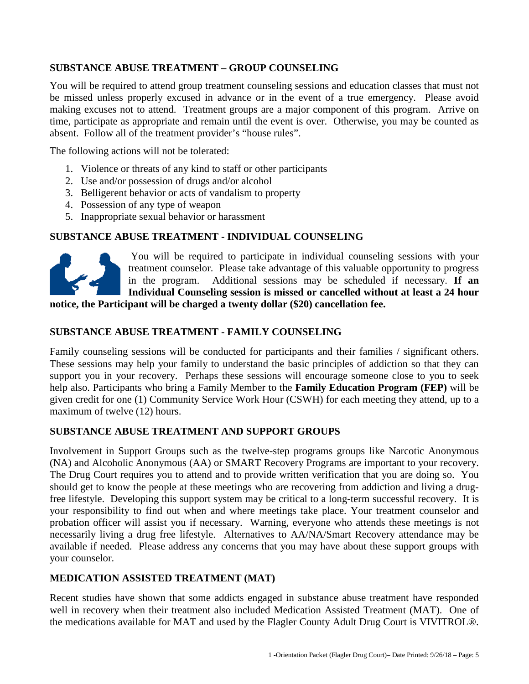#### **SUBSTANCE ABUSE TREATMENT – GROUP COUNSELING**

You will be required to attend group treatment counseling sessions and education classes that must not be missed unless properly excused in advance or in the event of a true emergency. Please avoid making excuses not to attend. Treatment groups are a major component of this program. Arrive on time, participate as appropriate and remain until the event is over. Otherwise, you may be counted as absent. Follow all of the treatment provider's "house rules".

The following actions will not be tolerated:

- 1. Violence or threats of any kind to staff or other participants
- 2. Use and/or possession of drugs and/or alcohol
- 3. Belligerent behavior or acts of vandalism to property
- 4. Possession of any type of weapon
- 5. Inappropriate sexual behavior or harassment

#### **SUBSTANCE ABUSE TREATMENT - INDIVIDUAL COUNSELING**



You will be required to participate in individual counseling sessions with your treatment counselor. Please take advantage of this valuable opportunity to progress in the program. Additional sessions may be scheduled if necessary. **If an Individual Counseling session is missed or cancelled without at least a 24 hour** 

**notice, the Participant will be charged a twenty dollar (\$20) cancellation fee.**

#### **SUBSTANCE ABUSE TREATMENT - FAMILY COUNSELING**

Family counseling sessions will be conducted for participants and their families / significant others. These sessions may help your family to understand the basic principles of addiction so that they can support you in your recovery. Perhaps these sessions will encourage someone close to you to seek help also. Participants who bring a Family Member to the **Family Education Program (FEP)** will be given credit for one (1) Community Service Work Hour (CSWH) for each meeting they attend, up to a maximum of twelve (12) hours.

#### **SUBSTANCE ABUSE TREATMENT AND SUPPORT GROUPS**

Involvement in Support Groups such as the twelve-step programs groups like Narcotic Anonymous (NA) and Alcoholic Anonymous (AA) or SMART Recovery Programs are important to your recovery. The Drug Court requires you to attend and to provide written verification that you are doing so. You should get to know the people at these meetings who are recovering from addiction and living a drugfree lifestyle. Developing this support system may be critical to a long-term successful recovery. It is your responsibility to find out when and where meetings take place. Your treatment counselor and probation officer will assist you if necessary. Warning, everyone who attends these meetings is not necessarily living a drug free lifestyle. Alternatives to AA/NA/Smart Recovery attendance may be available if needed. Please address any concerns that you may have about these support groups with your counselor.

#### **MEDICATION ASSISTED TREATMENT (MAT)**

Recent studies have shown that some addicts engaged in substance abuse treatment have responded well in recovery when their treatment also included Medication Assisted Treatment (MAT). One of the medications available for MAT and used by the Flagler County Adult Drug Court is VIVITROL®.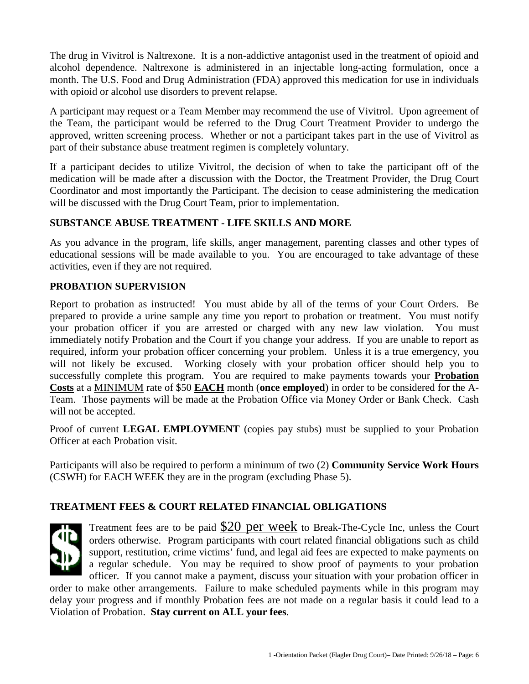The drug in Vivitrol is Naltrexone. It is a non-addictive antagonist used in the treatment of opioid and alcohol dependence. Naltrexone is administered in an injectable long-acting formulation, once a month. The U.S. Food and Drug Administration (FDA) approved this medication for use in individuals with opioid or alcohol use disorders to prevent relapse.

A participant may request or a Team Member may recommend the use of Vivitrol. Upon agreement of the Team, the participant would be referred to the Drug Court Treatment Provider to undergo the approved, written screening process. Whether or not a participant takes part in the use of Vivitrol as part of their substance abuse treatment regimen is completely voluntary.

If a participant decides to utilize Vivitrol, the decision of when to take the participant off of the medication will be made after a discussion with the Doctor, the Treatment Provider, the Drug Court Coordinator and most importantly the Participant. The decision to cease administering the medication will be discussed with the Drug Court Team, prior to implementation.

#### **SUBSTANCE ABUSE TREATMENT - LIFE SKILLS AND MORE**

As you advance in the program, life skills, anger management, parenting classes and other types of educational sessions will be made available to you. You are encouraged to take advantage of these activities, even if they are not required.

#### **PROBATION SUPERVISION**

Report to probation as instructed! You must abide by all of the terms of your Court Orders. Be prepared to provide a urine sample any time you report to probation or treatment. You must notify your probation officer if you are arrested or charged with any new law violation. You must immediately notify Probation and the Court if you change your address. If you are unable to report as required, inform your probation officer concerning your problem. Unless it is a true emergency, you will not likely be excused. Working closely with your probation officer should help you to successfully complete this program. You are required to make payments towards your **Probation Costs** at a MINIMUM rate of \$50 **EACH** month (**once employed**) in order to be considered for the A-Team. Those payments will be made at the Probation Office via Money Order or Bank Check. Cash will not be accepted.

Proof of current **LEGAL EMPLOYMENT** (copies pay stubs) must be supplied to your Probation Officer at each Probation visit.

Participants will also be required to perform a minimum of two (2) **Community Service Work Hours** (CSWH) for EACH WEEK they are in the program (excluding Phase 5).

#### **TREATMENT FEES & COURT RELATED FINANCIAL OBLIGATIONS**



Treatment fees are to be paid \$20 per week to Break-The-Cycle Inc, unless the Court orders otherwise. Program participants with court related financial obligations such as child support, restitution, crime victims' fund, and legal aid fees are expected to make payments on a regular schedule. You may be required to show proof of payments to your probation officer. If you cannot make a payment, discuss your situation with your probation officer in

order to make other arrangements. Failure to make scheduled payments while in this program may delay your progress and if monthly Probation fees are not made on a regular basis it could lead to a Violation of Probation. **Stay current on ALL your fees**.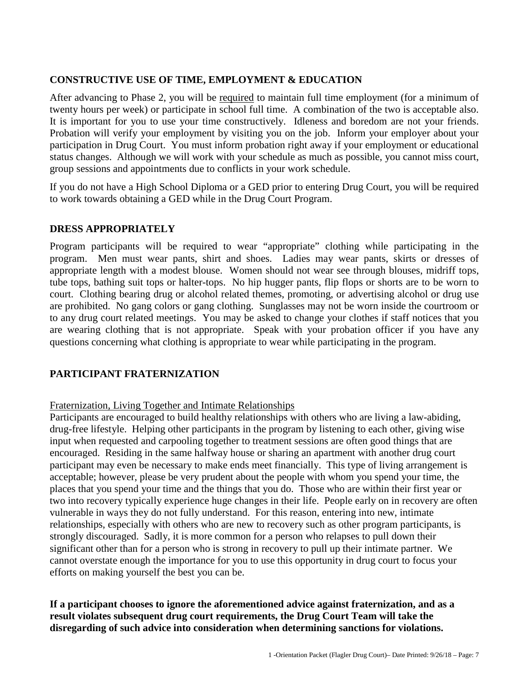#### **CONSTRUCTIVE USE OF TIME, EMPLOYMENT & EDUCATION**

After advancing to Phase 2, you will be required to maintain full time employment (for a minimum of twenty hours per week) or participate in school full time. A combination of the two is acceptable also. It is important for you to use your time constructively. Idleness and boredom are not your friends. Probation will verify your employment by visiting you on the job. Inform your employer about your participation in Drug Court. You must inform probation right away if your employment or educational status changes. Although we will work with your schedule as much as possible, you cannot miss court, group sessions and appointments due to conflicts in your work schedule.

If you do not have a High School Diploma or a GED prior to entering Drug Court, you will be required to work towards obtaining a GED while in the Drug Court Program.

#### **DRESS APPROPRIATELY**

Program participants will be required to wear "appropriate" clothing while participating in the program. Men must wear pants, shirt and shoes. Ladies may wear pants, skirts or dresses of appropriate length with a modest blouse. Women should not wear see through blouses, midriff tops, tube tops, bathing suit tops or halter-tops. No hip hugger pants, flip flops or shorts are to be worn to court. Clothing bearing drug or alcohol related themes, promoting, or advertising alcohol or drug use are prohibited. No gang colors or gang clothing. Sunglasses may not be worn inside the courtroom or to any drug court related meetings. You may be asked to change your clothes if staff notices that you are wearing clothing that is not appropriate. Speak with your probation officer if you have any questions concerning what clothing is appropriate to wear while participating in the program.

#### **PARTICIPANT FRATERNIZATION**

#### Fraternization, Living Together and Intimate Relationships

Participants are encouraged to build healthy relationships with others who are living a law-abiding, drug-free lifestyle. Helping other participants in the program by listening to each other, giving wise input when requested and carpooling together to treatment sessions are often good things that are encouraged. Residing in the same halfway house or sharing an apartment with another drug court participant may even be necessary to make ends meet financially. This type of living arrangement is acceptable; however, please be very prudent about the people with whom you spend your time, the places that you spend your time and the things that you do. Those who are within their first year or two into recovery typically experience huge changes in their life. People early on in recovery are often vulnerable in ways they do not fully understand. For this reason, entering into new, intimate relationships, especially with others who are new to recovery such as other program participants, is strongly discouraged. Sadly, it is more common for a person who relapses to pull down their significant other than for a person who is strong in recovery to pull up their intimate partner. We cannot overstate enough the importance for you to use this opportunity in drug court to focus your efforts on making yourself the best you can be.

#### **If a participant chooses to ignore the aforementioned advice against fraternization, and as a result violates subsequent drug court requirements, the Drug Court Team will take the disregarding of such advice into consideration when determining sanctions for violations.**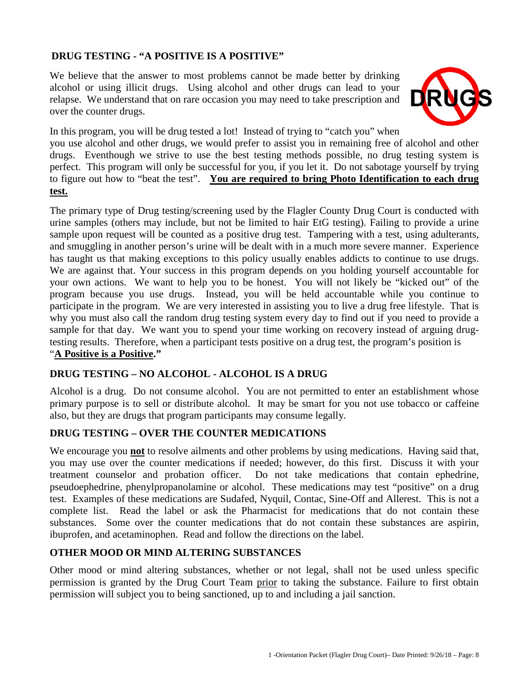#### **DRUG TESTING - "A POSITIVE IS A POSITIVE"**

We believe that the answer to most problems cannot be made better by drinking alcohol or using illicit drugs. Using alcohol and other drugs can lead to your relapse. We understand that on rare occasion you may need to take prescription and over the counter drugs.



In this program, you will be drug tested a lot! Instead of trying to "catch you" when

you use alcohol and other drugs, we would prefer to assist you in remaining free of alcohol and other drugs. Eventhough we strive to use the best testing methods possible, no drug testing system is perfect. This program will only be successful for you, if you let it. Do not sabotage yourself by trying to figure out how to "beat the test". **You are required to bring Photo Identification to each drug test.**

The primary type of Drug testing/screening used by the Flagler County Drug Court is conducted with urine samples (others may include, but not be limited to hair EtG testing). Failing to provide a urine sample upon request will be counted as a positive drug test. Tampering with a test, using adulterants, and smuggling in another person's urine will be dealt with in a much more severe manner. Experience has taught us that making exceptions to this policy usually enables addicts to continue to use drugs. We are against that. Your success in this program depends on you holding yourself accountable for your own actions. We want to help you to be honest. You will not likely be "kicked out" of the program because you use drugs. Instead, you will be held accountable while you continue to participate in the program. We are very interested in assisting you to live a drug free lifestyle. That is why you must also call the random drug testing system every day to find out if you need to provide a sample for that day. We want you to spend your time working on recovery instead of arguing drugtesting results. Therefore, when a participant tests positive on a drug test, the program's position is "**A Positive is a Positive."** 

#### **DRUG TESTING – NO ALCOHOL - ALCOHOL IS A DRUG**

Alcohol is a drug. Do not consume alcohol. You are not permitted to enter an establishment whose primary purpose is to sell or distribute alcohol. It may be smart for you not use tobacco or caffeine also, but they are drugs that program participants may consume legally.

#### **DRUG TESTING – OVER THE COUNTER MEDICATIONS**

We encourage you **not** to resolve ailments and other problems by using medications. Having said that, you may use over the counter medications if needed; however, do this first. Discuss it with your treatment counselor and probation officer. Do not take medications that contain ephedrine, pseudoephedrine, phenylpropanolamine or alcohol. These medications may test "positive" on a drug test. Examples of these medications are Sudafed, Nyquil, Contac, Sine-Off and Allerest. This is not a complete list. Read the label or ask the Pharmacist for medications that do not contain these substances. Some over the counter medications that do not contain these substances are aspirin, ibuprofen, and acetaminophen. Read and follow the directions on the label.

#### **OTHER MOOD OR MIND ALTERING SUBSTANCES**

Other mood or mind altering substances, whether or not legal, shall not be used unless specific permission is granted by the Drug Court Team prior to taking the substance. Failure to first obtain permission will subject you to being sanctioned, up to and including a jail sanction.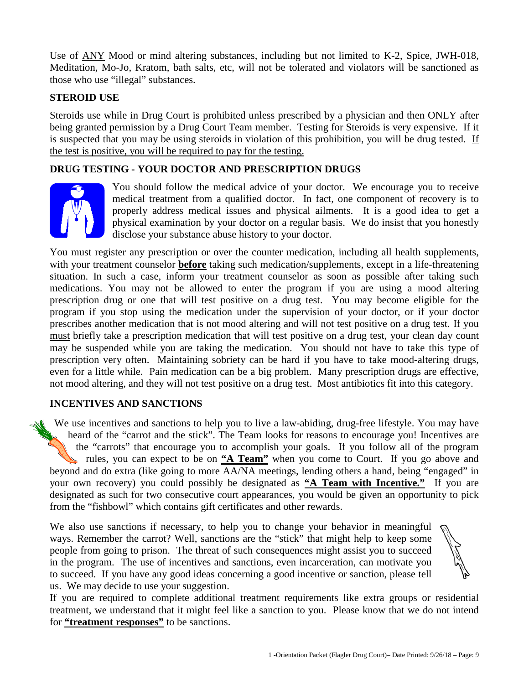Use of ANY Mood or mind altering substances, including but not limited to K-2, Spice, JWH-018, Meditation, Mo-Jo, Kratom, bath salts, etc, will not be tolerated and violators will be sanctioned as those who use "illegal" substances.

#### **STEROID USE**

Steroids use while in Drug Court is prohibited unless prescribed by a physician and then ONLY after being granted permission by a Drug Court Team member. Testing for Steroids is very expensive. If it is suspected that you may be using steroids in violation of this prohibition, you will be drug tested. If the test is positive, you will be required to pay for the testing.

#### **DRUG TESTING - YOUR DOCTOR AND PRESCRIPTION DRUGS**



You should follow the medical advice of your doctor. We encourage you to receive medical treatment from a qualified doctor. In fact, one component of recovery is to properly address medical issues and physical ailments. It is a good idea to get a physical examination by your doctor on a regular basis. We do insist that you honestly disclose your substance abuse history to your doctor.

You must register any prescription or over the counter medication, including all health supplements, with your treatment counselor **before** taking such medication/supplements, except in a life-threatening situation. In such a case, inform your treatment counselor as soon as possible after taking such medications. You may not be allowed to enter the program if you are using a mood altering prescription drug or one that will test positive on a drug test. You may become eligible for the program if you stop using the medication under the supervision of your doctor, or if your doctor prescribes another medication that is not mood altering and will not test positive on a drug test. If you must briefly take a prescription medication that will test positive on a drug test, your clean day count may be suspended while you are taking the medication. You should not have to take this type of prescription very often. Maintaining sobriety can be hard if you have to take mood-altering drugs, even for a little while. Pain medication can be a big problem. Many prescription drugs are effective, not mood altering, and they will not test positive on a drug test. Most antibiotics fit into this category.

#### **INCENTIVES AND SANCTIONS**

We use incentives and sanctions to help you to live a law-abiding, drug-free lifestyle. You may have heard of the "carrot and the stick". The Team looks for reasons to encourage you! Incentives are the "carrots" that encourage you to accomplish your goals. If you follow all of the program rules, you can expect to be on **"A Team"** when you come to Court. If you go above and beyond and do extra (like going to more AA/NA meetings, lending others a hand, being "engaged" in your own recovery) you could possibly be designated as "A Team with Incentive." If you are designated as such for two consecutive court appearances, you would be given an opportunity to pick from the "fishbowl" which contains gift certificates and other rewards.

We also use sanctions if necessary, to help you to change your behavior in meaningful ways. Remember the carrot? Well, sanctions are the "stick" that might help to keep some people from going to prison. The threat of such consequences might assist you to succeed in the program. The use of incentives and sanctions, even incarceration, can motivate you to succeed. If you have any good ideas concerning a good incentive or sanction, please tell us. We may decide to use your suggestion.

If you are required to complete additional treatment requirements like extra groups or residential treatment, we understand that it might feel like a sanction to you. Please know that we do not intend for **"treatment responses"** to be sanctions.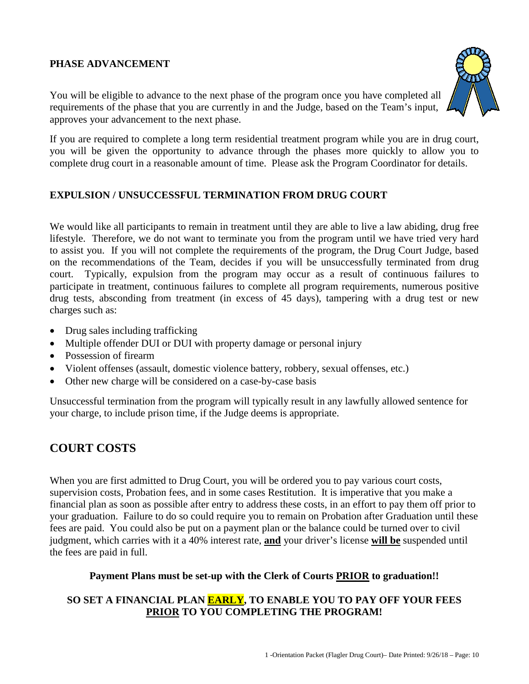#### **PHASE ADVANCEMENT**

You will be eligible to advance to the next phase of the program once you have completed all requirements of the phase that you are currently in and the Judge, based on the Team's input, approves your advancement to the next phase.

If you are required to complete a long term residential treatment program while you are in drug court, you will be given the opportunity to advance through the phases more quickly to allow you to complete drug court in a reasonable amount of time. Please ask the Program Coordinator for details.

#### **EXPULSION / UNSUCCESSFUL TERMINATION FROM DRUG COURT**

We would like all participants to remain in treatment until they are able to live a law abiding, drug free lifestyle. Therefore, we do not want to terminate you from the program until we have tried very hard to assist you. If you will not complete the requirements of the program, the Drug Court Judge, based on the recommendations of the Team, decides if you will be unsuccessfully terminated from drug court. Typically, expulsion from the program may occur as a result of continuous failures to participate in treatment, continuous failures to complete all program requirements, numerous positive drug tests, absconding from treatment (in excess of 45 days), tampering with a drug test or new charges such as:

- Drug sales including trafficking
- Multiple offender DUI or DUI with property damage or personal injury
- Possession of firearm
- Violent offenses (assault, domestic violence battery, robbery, sexual offenses, etc.)
- Other new charge will be considered on a case-by-case basis

Unsuccessful termination from the program will typically result in any lawfully allowed sentence for your charge, to include prison time, if the Judge deems is appropriate.

#### **COURT COSTS**

When you are first admitted to Drug Court, you will be ordered you to pay various court costs, supervision costs, Probation fees, and in some cases Restitution. It is imperative that you make a financial plan as soon as possible after entry to address these costs, in an effort to pay them off prior to your graduation. Failure to do so could require you to remain on Probation after Graduation until these fees are paid. You could also be put on a payment plan or the balance could be turned over to civil judgment, which carries with it a 40% interest rate, **and** your driver's license **will be** suspended until the fees are paid in full.

#### **Payment Plans must be set-up with the Clerk of Courts PRIOR to graduation!!**

#### **SO SET A FINANCIAL PLAN EARLY, TO ENABLE YOU TO PAY OFF YOUR FEES PRIOR TO YOU COMPLETING THE PROGRAM!**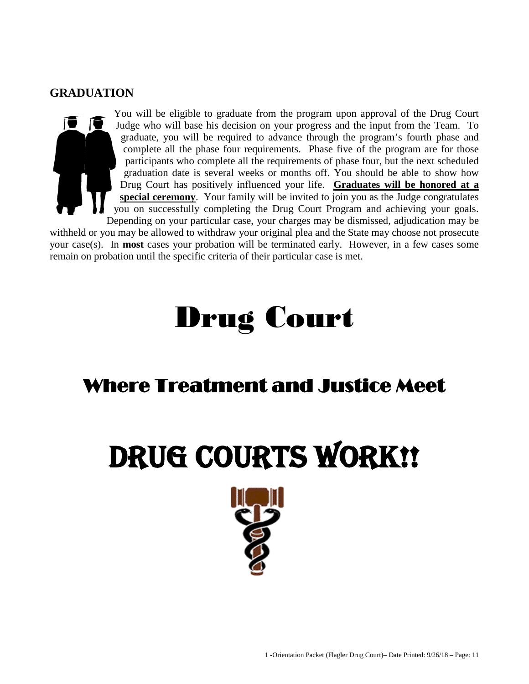#### **GRADUATION**



You will be eligible to graduate from the program upon approval of the Drug Court Judge who will base his decision on your progress and the input from the Team. To graduate, you will be required to advance through the program's fourth phase and complete all the phase four requirements. Phase five of the program are for those participants who complete all the requirements of phase four, but the next scheduled graduation date is several weeks or months off. You should be able to show how Drug Court has positively influenced your life. **Graduates will be honored at a special ceremony**. Your family will be invited to join you as the Judge congratulates you on successfully completing the Drug Court Program and achieving your goals.

Depending on your particular case, your charges may be dismissed, adjudication may be withheld or you may be allowed to withdraw your original plea and the State may choose not prosecute your case(s). In **most** cases your probation will be terminated early. However, in a few cases some remain on probation until the specific criteria of their particular case is met.

# Drug Court

# Where Treatment and Justice Meet

# DRUG COURTS WORK!!

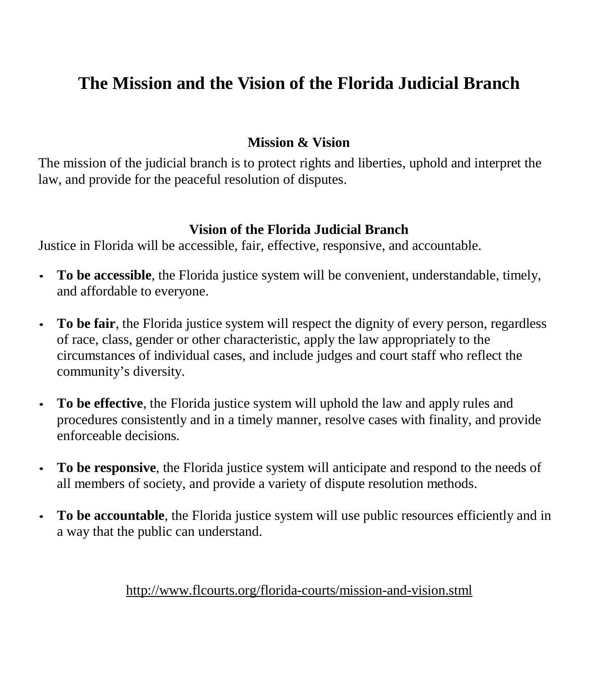# **The Mission and the Vision of the Florida Judicial Branch**

## **Mission & Vision**

The mission of the judicial branch is to protect rights and liberties, uphold and interpret the law, and provide for the peaceful resolution of disputes.

## **Vision of the Florida Judicial Branch**

Justice in Florida will be accessible, fair, effective, responsive, and accountable.

- **To be accessible**, the Florida justice system will be convenient, understandable, timely, and affordable to everyone.
- To be fair, the Florida justice system will respect the dignity of every person, regardless of race, class, gender or other characteristic, apply the law appropriately to the circumstances of individual cases, and include judges and court staff who reflect the community's diversity.
- **To be effective**, the Florida justice system will uphold the law and apply rules and procedures consistently and in a timely manner, resolve cases with finality, and provide enforceable decisions.
- **To be responsive**, the Florida justice system will anticipate and respond to the needs of all members of society, and provide a variety of dispute resolution methods.
- To be accountable, the Florida justice system will use public resources efficiently and in a way that the public can understand.

## <http://www.flcourts.org/florida-courts/mission-and-vision.stml>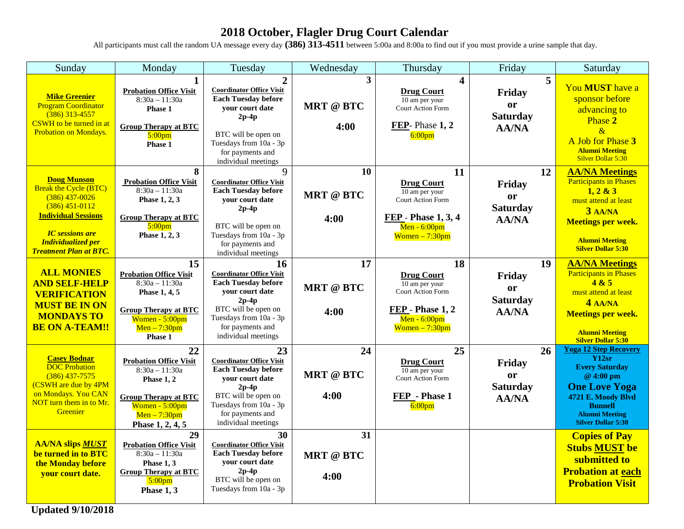## **2018 October, Flagler Drug Court Calendar**

All participants must call the random UA message every day **(386) 313-4511** between 5:00a and 8:00a to find out if you must provide a urine sample that day.

| Sunday                                                                                                                                                                                                           | Monday                                                                                                                                                       | Tuesday                                                                                                                                                                                                   | Wednesday                      | Thursday                                                                                                                           | Friday                                                                   | Saturday                                                                                                                                                                                          |
|------------------------------------------------------------------------------------------------------------------------------------------------------------------------------------------------------------------|--------------------------------------------------------------------------------------------------------------------------------------------------------------|-----------------------------------------------------------------------------------------------------------------------------------------------------------------------------------------------------------|--------------------------------|------------------------------------------------------------------------------------------------------------------------------------|--------------------------------------------------------------------------|---------------------------------------------------------------------------------------------------------------------------------------------------------------------------------------------------|
| <b>Mike Greenier</b><br><b>Program Coordinator</b><br>$(386)$ 313-4557<br><b>CSWH</b> to be turned in at<br>Probation on Mondays.                                                                                | $\mathbf{1}$<br><b>Probation Office Visit</b><br>$8:30a - 11:30a$<br>Phase 1<br><b>Group Therapy at BTC</b><br>5:00 <sub>pm</sub><br>Phase 1                 | $\overline{2}$<br><b>Coordinator Office Visit</b><br><b>Each Tuesday before</b><br>your court date<br>$2p-4p$<br>BTC will be open on<br>Tuesdays from 10a - 3p<br>for payments and<br>individual meetings | 3<br><b>MRT</b> @ BTC<br>4:00  | $\overline{\mathbf{4}}$<br><b>Drug Court</b><br>10 am per your<br>Court Action Form<br>FEP-Phase 1, 2<br>6:00 <sub>pm</sub>        | $\overline{5}$<br>Friday<br><b>or</b><br><b>Saturday</b><br><b>AA/NA</b> | You MUST have a<br>sponsor before<br>advancing to<br>Phase 2<br>$\alpha$<br>A Job for Phase 3<br><b>Alumni Meeting</b><br>Silver Dollar 5:30                                                      |
| <b>Doug Munson</b><br><b>Break the Cycle (BTC)</b><br>$(386)$ 437-0026<br>$(386)$ 451-0112<br><b>Individual Sessions</b><br><b>IC</b> sessions are<br><b>Individualized per</b><br><b>Treatment Plan at BTC.</b> | 8<br><b>Probation Office Visit</b><br>$8:30a - 11:30a$<br>Phase 1, 2, 3<br><b>Group Therapy at BTC</b><br>5:00 <sub>pm</sub><br>Phase 1, 2, 3                | 9<br><b>Coordinator Office Visit</b><br><b>Each Tuesday before</b><br>vour court date<br>$2p-4p$<br>BTC will be open on<br>Tuesdays from 10a - 3p<br>for payments and<br>individual meetings              | 10<br><b>MRT</b> @ BTC<br>4:00 | 11<br><b>Drug Court</b><br>10 am per your<br><b>Court Action Form</b><br>FEP - Phase 1, 3, 4<br>Men $-6:00$ pm<br>$Women - 7:30pm$ | 12<br>Friday<br><b>or</b><br><b>Saturday</b><br><b>AA/NA</b>             | <b>AA/NA Meetings</b><br><b>Participants in Phases</b><br>1, 2 & 3<br>must attend at least<br>$3$ AA/NA<br><b>Meetings per week.</b><br><b>Alumni Meeting</b><br><b>Silver Dollar 5:30</b>        |
| <b>ALL MONIES</b><br><b>AND SELF-HELP</b><br><b>VERIFICATION</b><br><b>MUST BE IN ON</b><br><b>MONDAYS TO</b><br><b>BE ON A-TEAM!!</b>                                                                           | 15<br><b>Probation Office Visit</b><br>$8:30a - 11:30a$<br>Phase 1, 4, 5<br><b>Group Therapy at BTC</b><br>Women - 5:00pm<br>$Men - 7:30pm$<br>Phase 1       | 16<br><b>Coordinator Office Visit</b><br><b>Each Tuesday before</b><br>your court date<br>$2p-4p$<br>BTC will be open on<br>Tuesdays from 10a - 3p<br>for payments and<br>individual meetings             | 17<br><b>MRT</b> @ BTC<br>4:00 | 18<br><b>Drug Court</b><br>10 am per your<br>Court Action Form<br>FEP - Phase 1, 2<br>$Men - 6:00pm$<br>$Women - 7:30pm$           | 19<br>Friday<br><b>or</b><br><b>Saturday</b><br><b>AA/NA</b>             | <b>AA/NA Meetings</b><br><b>Participants in Phases</b><br>4 & 5<br>must attend at least<br>4 AAMA<br><b>Meetings per week.</b><br><b>Alumni Meeting</b><br><b>Silver Dollar 5:30</b>              |
| <b>Casey Bodnar</b><br><b>DOC</b> Probation<br>$(386)$ 437-7575<br>(CSWH are due by 4PM<br>on Mondays. You CAN<br>NOT turn them in to Mr.<br>Greenier                                                            | 22<br><b>Probation Office Visit</b><br>$8:30a - 11:30a$<br>Phase 1, 2<br><b>Group Therapy at BTC</b><br>Women - 5:00pm<br>$Men - 7:30pm$<br>Phase 1, 2, 4, 5 | 23<br><b>Coordinator Office Visit</b><br><b>Each Tuesday before</b><br>your court date<br>$2p-4p$<br>BTC will be open on<br>Tuesdays from 10a - 3p<br>for payments and<br>individual meetings             | 24<br><b>MRT</b> @ BTC<br>4:00 | 25<br><b>Drug Court</b><br>10 am per your<br>Court Action Form<br>FEP - Phase 1<br>6:00 <sub>pm</sub>                              | 26<br>Friday<br><b>or</b><br><b>Saturday</b><br><b>AA/NA</b>             | <b>Yoga 12 Step Recovery</b><br>Y12sr<br><b>Every Saturday</b><br>@ 4:00 pm<br><b>One Love Yoga</b><br>4721 E. Moody Blvd<br><b>Bunnell</b><br><b>Alumni Meeting</b><br><b>Silver Dollar 5:30</b> |
| <b>AA/NA slips MUST</b><br>be turned in to BTC<br>the Monday before<br>your court date.                                                                                                                          | 29<br><b>Probation Office Visit</b><br>$8:30a - 11:30a$<br>Phase 1, 3<br><b>Group Therapy at BTC</b><br>$5:00$ pm<br>Phase 1, 3                              | 30<br><b>Coordinator Office Visit</b><br><b>Each Tuesday before</b><br>your court date<br>$2p-4p$<br>BTC will be open on<br>Tuesdays from 10a - 3p                                                        | 31<br><b>MRT</b> @ BTC<br>4:00 |                                                                                                                                    |                                                                          | <b>Copies of Pay</b><br><b>Stubs MUST be</b><br>submitted to<br><b>Probation at each</b><br><b>Probation Visit</b>                                                                                |

**Updated 9/10/2018**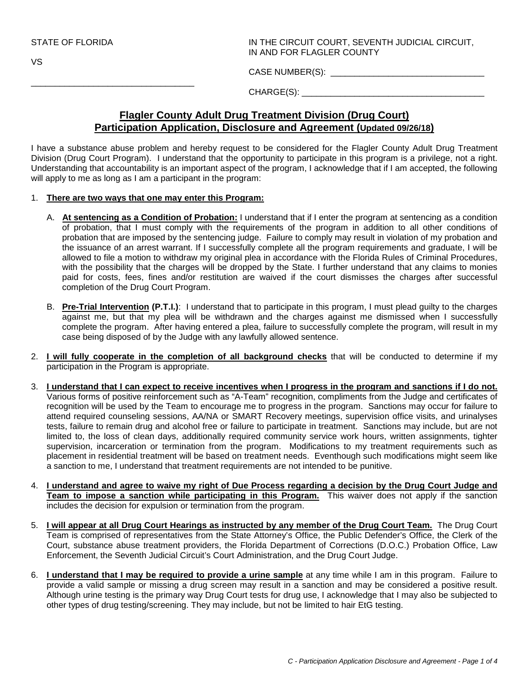\_\_\_\_\_\_\_\_\_\_\_\_\_\_\_\_\_\_\_\_\_\_\_\_\_\_\_\_\_\_\_\_\_\_

VS

STATE OF FLORIDA IN THE CIRCUIT COURT, SEVENTH JUDICIAL CIRCUIT, IN AND FOR FLAGLER COUNTY

CASE NUMBER(S): \_\_\_\_\_\_\_\_\_\_\_\_\_\_\_\_\_\_\_\_\_\_\_\_\_\_\_\_\_\_\_\_

CHARGE(S): \_\_\_\_\_\_\_\_\_\_\_\_\_\_\_\_\_\_\_\_\_\_\_\_\_\_\_\_\_\_\_\_\_\_\_\_\_\_

#### **Flagler County Adult Drug Treatment Division (Drug Court) Participation Application, Disclosure and Agreement (Updated 09/26/18)**

I have a substance abuse problem and hereby request to be considered for the Flagler County Adult Drug Treatment Division (Drug Court Program). I understand that the opportunity to participate in this program is a privilege, not a right. Understanding that accountability is an important aspect of the program, I acknowledge that if I am accepted, the following will apply to me as long as I am a participant in the program:

- 1. **There are two ways that one may enter this Program:**
	- A. **At sentencing as a Condition of Probation:** I understand that if I enter the program at sentencing as a condition of probation, that I must comply with the requirements of the program in addition to all other conditions of probation that are imposed by the sentencing judge. Failure to comply may result in violation of my probation and the issuance of an arrest warrant. If I successfully complete all the program requirements and graduate, I will be allowed to file a motion to withdraw my original plea in accordance with the Florida Rules of Criminal Procedures, with the possibility that the charges will be dropped by the State. I further understand that any claims to monies paid for costs, fees, fines and/or restitution are waived if the court dismisses the charges after successful completion of the Drug Court Program.
	- B. **Pre-Trial Intervention (P.T.I.)**: I understand that to participate in this program, I must plead guilty to the charges against me, but that my plea will be withdrawn and the charges against me dismissed when I successfully complete the program. After having entered a plea, failure to successfully complete the program, will result in my case being disposed of by the Judge with any lawfully allowed sentence.
- 2. **I will fully cooperate in the completion of all background checks** that will be conducted to determine if my participation in the Program is appropriate.
- 3. **I understand that I can expect to receive incentives when I progress in the program and sanctions if I do not.** Various forms of positive reinforcement such as "A-Team" recognition, compliments from the Judge and certificates of recognition will be used by the Team to encourage me to progress in the program. Sanctions may occur for failure to attend required counseling sessions, AA/NA or SMART Recovery meetings, supervision office visits, and urinalyses tests, failure to remain drug and alcohol free or failure to participate in treatment. Sanctions may include, but are not limited to, the loss of clean days, additionally required community service work hours, written assignments, tighter supervision, incarceration or termination from the program. Modifications to my treatment requirements such as placement in residential treatment will be based on treatment needs. Eventhough such modifications might seem like a sanction to me, I understand that treatment requirements are not intended to be punitive.
- 4. **I understand and agree to waive my right of Due Process regarding a decision by the Drug Court Judge and Team to impose a sanction while participating in this Program.** This waiver does not apply if the sanction includes the decision for expulsion or termination from the program.
- 5. **I will appear at all Drug Court Hearings as instructed by any member of the Drug Court Team.** The Drug Court Team is comprised of representatives from the State Attorney's Office, the Public Defender's Office, the Clerk of the Court, substance abuse treatment providers, the Florida Department of Corrections (D.O.C.) Probation Office, Law Enforcement, the Seventh Judicial Circuit's Court Administration, and the Drug Court Judge.
- 6. **I understand that I may be required to provide a urine sample** at any time while I am in this program. Failure to provide a valid sample or missing a drug screen may result in a sanction and may be considered a positive result. Although urine testing is the primary way Drug Court tests for drug use, I acknowledge that I may also be subjected to other types of drug testing/screening. They may include, but not be limited to hair EtG testing.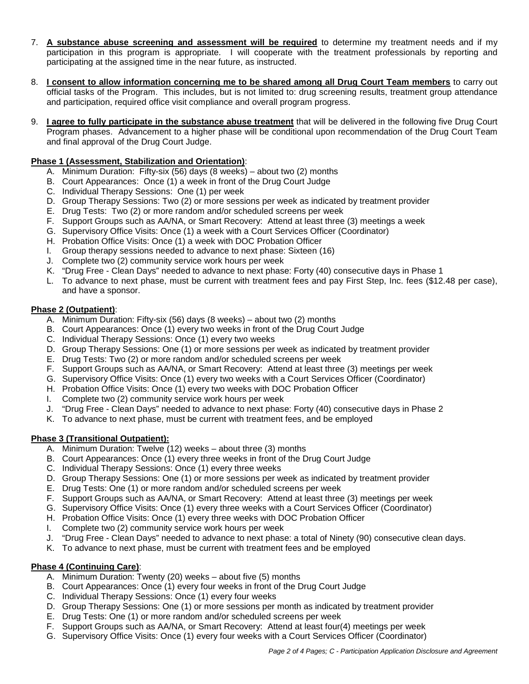- 7. **A substance abuse screening and assessment will be required** to determine my treatment needs and if my participation in this program is appropriate. I will cooperate with the treatment professionals by reporting and participating at the assigned time in the near future, as instructed.
- 8. **I consent to allow information concerning me to be shared among all Drug Court Team members** to carry out official tasks of the Program. This includes, but is not limited to: drug screening results, treatment group attendance and participation, required office visit compliance and overall program progress.
- 9. **I agree to fully participate in the substance abuse treatment** that will be delivered in the following five Drug Court Program phases. Advancement to a higher phase will be conditional upon recommendation of the Drug Court Team and final approval of the Drug Court Judge.

#### **Phase 1 (Assessment, Stabilization and Orientation)**:

- A. Minimum Duration: Fifty-six (56) days (8 weeks) about two (2) months
- B. Court Appearances: Once (1) a week in front of the Drug Court Judge
- C. Individual Therapy Sessions: One (1) per week
- D. Group Therapy Sessions: Two (2) or more sessions per week as indicated by treatment provider
- E. Drug Tests: Two (2) or more random and/or scheduled screens per week
- F. Support Groups such as AA/NA, or Smart Recovery: Attend at least three (3) meetings a week
- G. Supervisory Office Visits: Once (1) a week with a Court Services Officer (Coordinator)
- H. Probation Office Visits: Once (1) a week with DOC Probation Officer
- I. Group therapy sessions needed to advance to next phase: Sixteen (16)
- J. Complete two (2) community service work hours per week
- K. "Drug Free Clean Days" needed to advance to next phase: Forty (40) consecutive days in Phase 1
- L. To advance to next phase, must be current with treatment fees and pay First Step, Inc. fees (\$12.48 per case), and have a sponsor.

#### **Phase 2 (Outpatient)**:

- A. Minimum Duration: Fifty-six (56) days (8 weeks) about two (2) months
- B. Court Appearances: Once (1) every two weeks in front of the Drug Court Judge
- C. Individual Therapy Sessions: Once (1) every two weeks
- D. Group Therapy Sessions: One (1) or more sessions per week as indicated by treatment provider
- E. Drug Tests: Two (2) or more random and/or scheduled screens per week
- F. Support Groups such as AA/NA, or Smart Recovery: Attend at least three (3) meetings per week
- G. Supervisory Office Visits: Once (1) every two weeks with a Court Services Officer (Coordinator)
- H. Probation Office Visits: Once (1) every two weeks with DOC Probation Officer
- I. Complete two (2) community service work hours per week
- J. "Drug Free Clean Days" needed to advance to next phase: Forty (40) consecutive days in Phase 2
- K. To advance to next phase, must be current with treatment fees, and be employed

#### **Phase 3 (Transitional Outpatient):**

- A. Minimum Duration: Twelve (12) weeks about three (3) months
- B. Court Appearances: Once (1) every three weeks in front of the Drug Court Judge
- C. Individual Therapy Sessions: Once (1) every three weeks
- D. Group Therapy Sessions: One (1) or more sessions per week as indicated by treatment provider
- E. Drug Tests: One (1) or more random and/or scheduled screens per week
- F. Support Groups such as AA/NA, or Smart Recovery: Attend at least three (3) meetings per week
- G. Supervisory Office Visits: Once (1) every three weeks with a Court Services Officer (Coordinator)
- H. Probation Office Visits: Once (1) every three weeks with DOC Probation Officer
- I. Complete two (2) community service work hours per week
- J. "Drug Free Clean Days" needed to advance to next phase: a total of Ninety (90) consecutive clean days.
- K. To advance to next phase, must be current with treatment fees and be employed

#### **Phase 4 (Continuing Care)**:

- A. Minimum Duration: Twenty (20) weeks about five (5) months
- B. Court Appearances: Once (1) every four weeks in front of the Drug Court Judge
- C. Individual Therapy Sessions: Once (1) every four weeks
- D. Group Therapy Sessions: One (1) or more sessions per month as indicated by treatment provider
- E. Drug Tests: One (1) or more random and/or scheduled screens per week
- F. Support Groups such as AA/NA, or Smart Recovery: Attend at least four(4) meetings per week
- G. Supervisory Office Visits: Once (1) every four weeks with a Court Services Officer (Coordinator)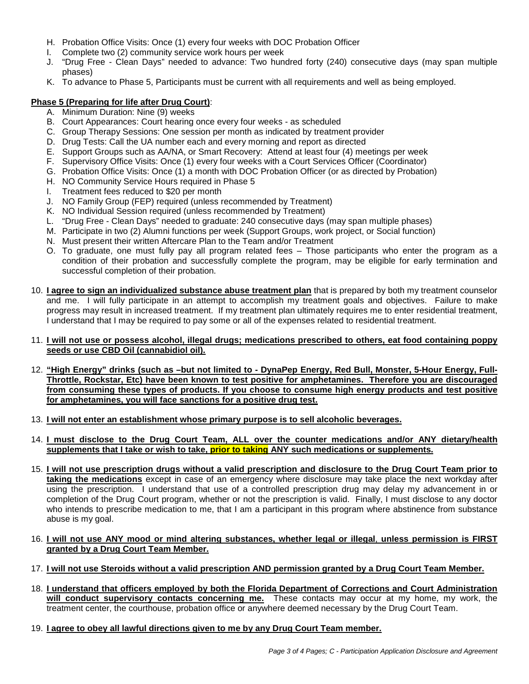- H. Probation Office Visits: Once (1) every four weeks with DOC Probation Officer
- I. Complete two (2) community service work hours per week
- J. "Drug Free Clean Days" needed to advance: Two hundred forty (240) consecutive days (may span multiple phases)
- K. To advance to Phase 5, Participants must be current with all requirements and well as being employed.

#### **Phase 5 (Preparing for life after Drug Court)**:

- A. Minimum Duration: Nine (9) weeks
- B. Court Appearances: Court hearing once every four weeks as scheduled
- C. Group Therapy Sessions: One session per month as indicated by treatment provider
- D. Drug Tests: Call the UA number each and every morning and report as directed
- E. Support Groups such as AA/NA, or Smart Recovery: Attend at least four (4) meetings per week
- F. Supervisory Office Visits: Once (1) every four weeks with a Court Services Officer (Coordinator)
- G. Probation Office Visits: Once (1) a month with DOC Probation Officer (or as directed by Probation)
- H. NO Community Service Hours required in Phase 5
- I. Treatment fees reduced to \$20 per month
- J. NO Family Group (FEP) required (unless recommended by Treatment)
- K. NO Individual Session required (unless recommended by Treatment)
- L. "Drug Free Clean Days" needed to graduate: 240 consecutive days (may span multiple phases)
- M. Participate in two (2) Alumni functions per week (Support Groups, work project, or Social function)
- N. Must present their written Aftercare Plan to the Team and/or Treatment
- O. To graduate, one must fully pay all program related fees Those participants who enter the program as a condition of their probation and successfully complete the program, may be eligible for early termination and successful completion of their probation.
- 10. **I agree to sign an individualized substance abuse treatment plan** that is prepared by both my treatment counselor and me. I will fully participate in an attempt to accomplish my treatment goals and objectives. Failure to make progress may result in increased treatment. If my treatment plan ultimately requires me to enter residential treatment, I understand that I may be required to pay some or all of the expenses related to residential treatment.

#### 11. **I will not use or possess alcohol, illegal drugs; medications prescribed to others, eat food containing poppy seeds or use CBD Oil (cannabidiol oil).**

- 12. **"High Energy" drinks (such as –but not limited to DynaPep Energy, Red Bull, Monster, 5-Hour Energy, Full-Throttle, Rockstar, Etc) have been known to test positive for amphetamines. Therefore you are discouraged from consuming these types of products. If you choose to consume high energy products and test positive for amphetamines, you will face sanctions for a positive drug test.**
- 13. **I will not enter an establishment whose primary purpose is to sell alcoholic beverages.**
- 14. **I must disclose to the Drug Court Team, ALL over the counter medications and/or ANY dietary/health supplements that I take or wish to take, prior to taking ANY such medications or supplements.**
- 15. **I will not use prescription drugs without a valid prescription and disclosure to the Drug Court Team prior to taking the medications** except in case of an emergency where disclosure may take place the next workday after using the prescription. I understand that use of a controlled prescription drug may delay my advancement in or completion of the Drug Court program, whether or not the prescription is valid. Finally, I must disclose to any doctor who intends to prescribe medication to me, that I am a participant in this program where abstinence from substance abuse is my goal.

#### 16. **I will not use ANY mood or mind altering substances, whether legal or illegal**, **unless permission is FIRST granted by a Drug Court Team Member.**

- 17. **I will not use Steroids without a valid prescription AND permission granted by a Drug Court Team Member.**
- 18. **I understand that officers employed by both the Florida Department of Corrections and Court Administration will conduct supervisory contacts concerning me.** These contacts may occur at my home, my work, the treatment center, the courthouse, probation office or anywhere deemed necessary by the Drug Court Team.
- 19. **I agree to obey all lawful directions given to me by any Drug Court Team member.**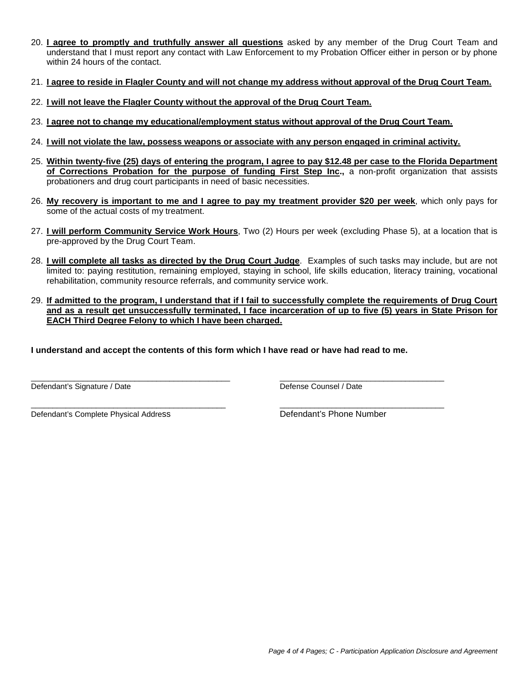- 20. **I agree to promptly and truthfully answer all questions** asked by any member of the Drug Court Team and understand that I must report any contact with Law Enforcement to my Probation Officer either in person or by phone within 24 hours of the contact.
- 21. **I agree to reside in Flagler County and will not change my address without approval of the Drug Court Team.**
- 22. **I will not leave the Flagler County without the approval of the Drug Court Team.**
- 23. **I agree not to change my educational/employment status without approval of the Drug Court Team.**
- 24. **I will not violate the law, possess weapons or associate with any person engaged in criminal activity.**
- 25. **Within twenty-five (25) days of entering the program, I agree to pay \$12.48 per case to the Florida Department of Corrections Probation for the purpose of funding First Step Inc.,** a non-profit organization that assists probationers and drug court participants in need of basic necessities.
- 26. **My recovery is important to me and I agree to pay my treatment provider \$20 per week**, which only pays for some of the actual costs of my treatment.
- 27. **I will perform Community Service Work Hours**, Two (2) Hours per week (excluding Phase 5), at a location that is pre-approved by the Drug Court Team.
- 28. **I will complete all tasks as directed by the Drug Court Judge**. Examples of such tasks may include, but are not limited to: paying restitution, remaining employed, staying in school, life skills education, literacy training, vocational rehabilitation, community resource referrals, and community service work.
- 29. **If admitted to the program, I understand that if I fail to successfully complete the requirements of Drug Court and as a result get unsuccessfully terminated, I face incarceration of up to five (5) years in State Prison for EACH Third Degree Felony to which I have been charged.**

**I understand and accept the contents of this form which I have read or have had read to me.**

 $\_$  ,  $\_$  ,  $\_$  ,  $\_$  ,  $\_$  ,  $\_$  ,  $\_$  ,  $\_$  ,  $\_$  ,  $\_$  ,  $\_$  ,  $\_$  ,  $\_$  ,  $\_$  ,  $\_$  ,  $\_$  ,  $\_$  ,  $\_$  ,  $\_$  ,  $\_$  ,  $\_$  ,  $\_$  ,  $\_$  ,  $\_$  ,  $\_$  ,  $\_$  ,  $\_$  ,  $\_$  ,  $\_$  ,  $\_$  ,  $\_$  ,  $\_$  ,  $\_$  ,  $\_$  ,  $\_$  ,  $\_$  ,  $\_$  , Defendant's Signature / Date **Defense Counsel / Date** Defense Counsel / Date

Defendant's Complete Physical Address **Defendant's Phone Number** 

\_\_\_\_\_\_\_\_\_\_\_\_\_\_\_\_\_\_\_\_\_\_\_\_\_\_\_\_\_\_\_\_\_\_\_\_\_\_\_\_\_\_\_\_\_ \_\_\_\_\_\_\_\_\_\_\_\_\_\_\_\_\_\_\_\_\_\_\_\_\_\_\_\_\_\_\_\_\_\_\_\_\_\_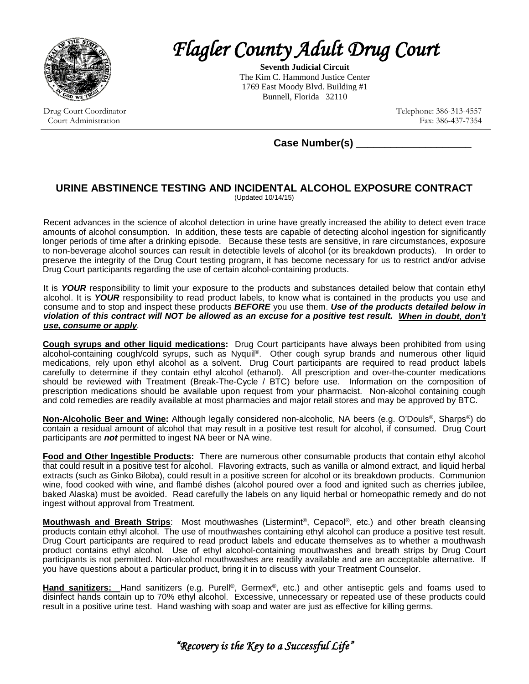

*Flagler County Adult Drug Court* 

**Seventh Judicial Circuit** The Kim C. Hammond Justice Center 1769 East Moody Blvd. Building #1 Bunnell, Florida 32110

Drug Court Coordinator Court Administration

Telephone: 386-313-4557 Fax: 386-437-7354

 **Case Number(s) \_\_\_\_\_\_\_\_\_\_\_\_\_\_\_\_\_\_\_\_**

#### **URINE ABSTINENCE TESTING AND INCIDENTAL ALCOHOL EXPOSURE CONTRACT** (Updated 10/14/15)

Recent advances in the science of alcohol detection in urine have greatly increased the ability to detect even trace amounts of alcohol consumption. In addition, these tests are capable of detecting alcohol ingestion for significantly longer periods of time after a drinking episode. Because these tests are sensitive, in rare circumstances, exposure to non-beverage alcohol sources can result in detectible levels of alcohol (or its breakdown products). In order to preserve the integrity of the Drug Court testing program, it has become necessary for us to restrict and/or advise Drug Court participants regarding the use of certain alcohol-containing products.

It is *YOUR* responsibility to limit your exposure to the products and substances detailed below that contain ethyl alcohol. It is *YOUR* responsibility to read product labels, to know what is contained in the products you use and consume and to stop and inspect these products *BEFORE* you use them. *Use of the products detailed below in violation of this contract will NOT be allowed as an excuse for a positive test result. When in doubt, don't use, consume or apply.* 

**Cough syrups and other liquid medications:** Drug Court participants have always been prohibited from using alcohol-containing cough/cold syrups, such as Nyquil®. Other cough syrup brands and numerous other liquid medications, rely upon ethyl alcohol as a solvent. Drug Court participants are required to read product labels carefully to determine if they contain ethyl alcohol (ethanol). All prescription and over-the-counter medications should be reviewed with Treatment (Break-The-Cycle / BTC) before use. Information on the composition of prescription medications should be available upon request from your pharmacist. Non-alcohol containing cough and cold remedies are readily available at most pharmacies and major retail stores and may be approved by BTC.

**Non-Alcoholic Beer and Wine:** Although legally considered non-alcoholic, NA beers (e.g. O'Douls®, Sharps®) do contain a residual amount of alcohol that may result in a positive test result for alcohol, if consumed. Drug Court participants are *not* permitted to ingest NA beer or NA wine.

**Food and Other Ingestible Products:** There are numerous other consumable products that contain ethyl alcohol that could result in a positive test for alcohol. Flavoring extracts, such as vanilla or almond extract, and liquid herbal extracts (such as Ginko Biloba), could result in a positive screen for alcohol or its breakdown products. Communion wine, food cooked with wine, and flambé dishes (alcohol poured over a food and ignited such as cherries jubilee, baked Alaska) must be avoided. Read carefully the labels on any liquid herbal or homeopathic remedy and do not ingest without approval from Treatment.

**Mouthwash and Breath Strips**: Most mouthwashes (Listermint®, Cepacol®, etc.) and other breath cleansing products contain ethyl alcohol. The use of mouthwashes containing ethyl alcohol can produce a positive test result. Drug Court participants are required to read product labels and educate themselves as to whether a mouthwash product contains ethyl alcohol. Use of ethyl alcohol-containing mouthwashes and breath strips by Drug Court participants is not permitted. Non-alcohol mouthwashes are readily available and are an acceptable alternative. If you have questions about a particular product, bring it in to discuss with your Treatment Counselor.

**Hand sanitizers:** Hand sanitizers (e.g. Purell®, Germex®, etc.) and other antiseptic gels and foams used to disinfect hands contain up to 70% ethyl alcohol. Excessive, unnecessary or repeated use of these products could result in a positive urine test. Hand washing with soap and water are just as effective for killing germs.

*"Recovery is the Key to a Successful Life"*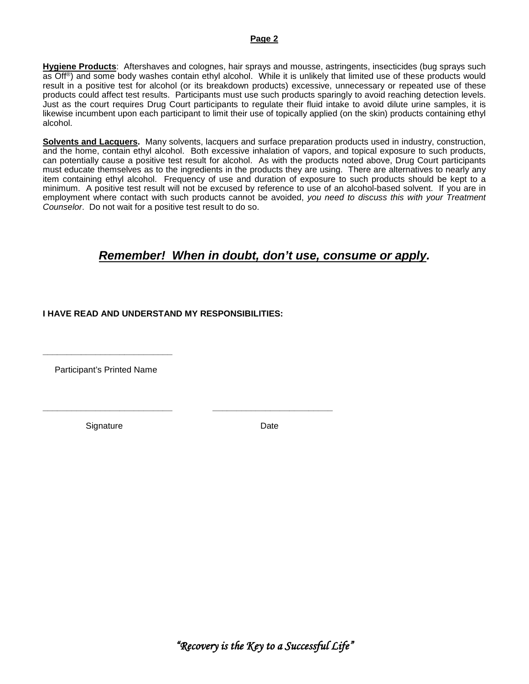#### **Page 2**

**Hygiene Products**: Aftershaves and colognes, hair sprays and mousse, astringents, insecticides (bug sprays such as Off®) and some body washes contain ethyl alcohol. While it is unlikely that limited use of these products would result in a positive test for alcohol (or its breakdown products) excessive, unnecessary or repeated use of these products could affect test results. Participants must use such products sparingly to avoid reaching detection levels. Just as the court requires Drug Court participants to regulate their fluid intake to avoid dilute urine samples, it is likewise incumbent upon each participant to limit their use of topically applied (on the skin) products containing ethyl alcohol.

**Solvents and Lacquers.** Many solvents, lacquers and surface preparation products used in industry, construction, and the home, contain ethyl alcohol. Both excessive inhalation of vapors, and topical exposure to such products, can potentially cause a positive test result for alcohol. As with the products noted above, Drug Court participants must educate themselves as to the ingredients in the products they are using. There are alternatives to nearly any item containing ethyl alcohol. Frequency of use and duration of exposure to such products should be kept to a minimum. A positive test result will not be excused by reference to use of an alcohol-based solvent. If you are in employment where contact with such products cannot be avoided, *you need to discuss this with your Treatment Counselor*. Do not wait for a positive test result to do so.

## *Remember! When in doubt, don't use, consume or apply.*

#### **I HAVE READ AND UNDERSTAND MY RESPONSIBILITIES:**

**\_\_\_\_\_\_\_\_\_\_\_\_\_\_\_\_\_\_\_\_\_\_\_\_\_\_\_ \_\_\_\_\_\_\_\_\_\_\_\_\_\_\_\_\_\_\_\_\_\_\_\_\_**

Participant's Printed Name

**\_\_\_\_\_\_\_\_\_\_\_\_\_\_\_\_\_\_\_\_\_\_\_\_\_\_\_**

Signature Date

*"Recovery is the Key to a Successful Life"*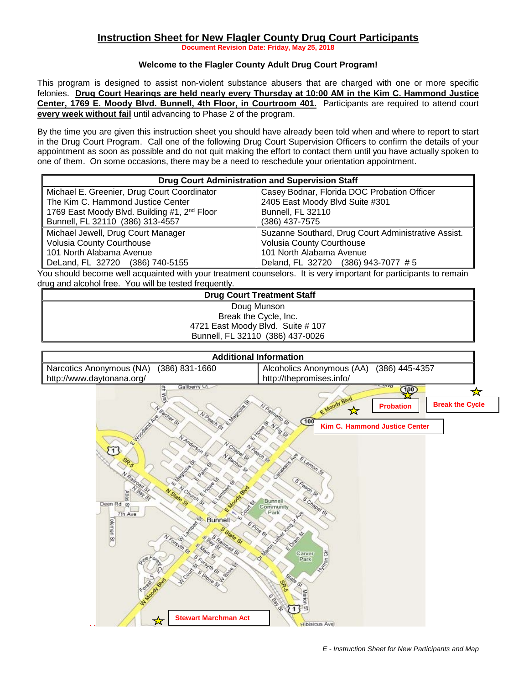#### **Instruction Sheet for New Flagler County Drug Court Participants**

**Document Revision Date: Friday, May 25, 2018**

#### **Welcome to the Flagler County Adult Drug Court Program!**

This program is designed to assist non-violent substance abusers that are charged with one or more specific felonies. **Drug Court Hearings are held nearly every Thursday at 10:00 AM in the Kim C. Hammond Justice Center, 1769 E. Moody Blvd. Bunnell, 4th Floor, in Courtroom 401.** Participants are required to attend court **every week without fail** until advancing to Phase 2 of the program.

By the time you are given this instruction sheet you should have already been told when and where to report to start in the Drug Court Program. Call one of the following Drug Court Supervision Officers to confirm the details of your appointment as soon as possible and do not quit making the effort to contact them until you have actually spoken to one of them. On some occasions, there may be a need to reschedule your orientation appointment.

| <b>Drug Court Administration and Supervision Staff</b>   |                                                     |  |  |  |  |  |
|----------------------------------------------------------|-----------------------------------------------------|--|--|--|--|--|
| Michael E. Greenier, Drug Court Coordinator              | Casey Bodnar, Florida DOC Probation Officer         |  |  |  |  |  |
| The Kim C. Hammond Justice Center                        | 2405 East Moody Blvd Suite #301                     |  |  |  |  |  |
| 1769 East Moody Blvd. Building #1, 2 <sup>nd</sup> Floor | Bunnell, FL 32110                                   |  |  |  |  |  |
| Bunnell, FL 32110 (386) 313-4557                         | (386) 437-7575                                      |  |  |  |  |  |
| Michael Jewell, Drug Court Manager                       | Suzanne Southard, Drug Court Administrative Assist. |  |  |  |  |  |
| Volusia County Courthouse                                | Volusia County Courthouse                           |  |  |  |  |  |
| 101 North Alabama Avenue                                 | 101 North Alabama Avenue                            |  |  |  |  |  |
| DeLand, FL 32720 (386) 740-5155                          | Deland, FL 32720 (386) 943-7077 #5                  |  |  |  |  |  |

You should become well acquainted with your treatment counselors. It is very important for participants to remain drug and alcohol free. You will be tested frequently.

#### **Drug Court Treatment Staff** Doug Munson Break the Cycle, Inc. 4721 East Moody Blvd. Suite # 107

Bunnell, FL 32110 (386) 437-0026

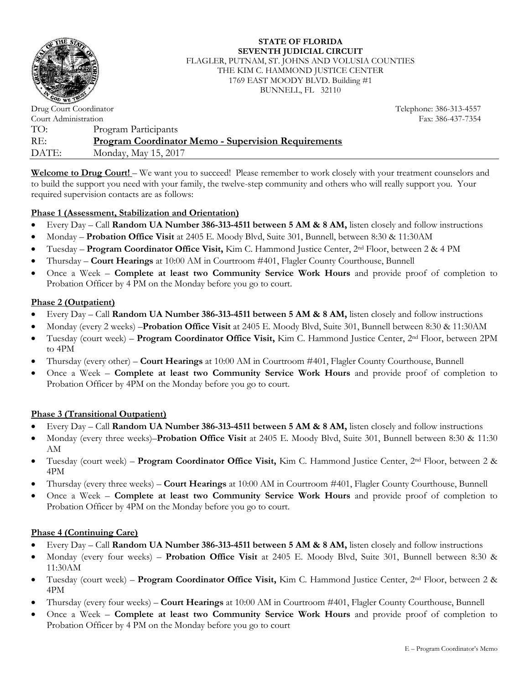

**STATE OF FLORIDA SEVENTH JUDICIAL CIRCUIT** FLAGLER, PUTNAM, ST. JOHNS AND VOLUSIA COUNTIES THE KIM C. HAMMOND JUSTICE CENTER 1769 EAST MOODY BLVD. Building #1 BUNNELL, FL 32110

Telephone: 386-313-4557

Drug Court Coordinator Court Administration Fax: 386-437-7354 TO: Program Participants RE: **Program Coordinator Memo - Supervision Requirements** DATE: Monday, May 15, 2017

**Welcome to Drug Court!** – We want you to succeed! Please remember to work closely with your treatment counselors and to build the support you need with your family, the twelve-step community and others who will really support you. Your required supervision contacts are as follows:

#### **Phase 1 (Assessment, Stabilization and Orientation)**

- Every Day Call **Random UA Number 386-313-4511 between 5 AM & 8 AM,** listen closely and follow instructions
- Monday **Probation Office Visit** at 2405 E. Moody Blvd, Suite 301, Bunnell, between 8:30 & 11:30AM
- Tuesday **Program Coordinator Office Visit,** Kim C. Hammond Justice Center, 2nd Floor, between 2 & 4 PM
- Thursday **Court Hearings** at 10:00 AM in Courtroom #401, Flagler County Courthouse, Bunnell
- Once a Week **Complete at least two Community Service Work Hours** and provide proof of completion to Probation Officer by 4 PM on the Monday before you go to court.

#### **Phase 2 (Outpatient)**

- Every Day Call **Random UA Number 386-313-4511 between 5 AM & 8 AM,** listen closely and follow instructions
- Monday (every 2 weeks) –**Probation Office Visit** at 2405 E. Moody Blvd, Suite 301, Bunnell between 8:30 & 11:30AM
- Tuesday (court week) **Program Coordinator Office Visit,** Kim C. Hammond Justice Center, 2nd Floor, between 2PM to 4PM
- Thursday (every other) **Court Hearings** at 10:00 AM in Courtroom #401, Flagler County Courthouse, Bunnell
- Once a Week **Complete at least two Community Service Work Hours** and provide proof of completion to Probation Officer by 4PM on the Monday before you go to court.

#### **Phase 3 (Transitional Outpatient)**

- Every Day Call **Random UA Number 386-313-4511 between 5 AM & 8 AM,** listen closely and follow instructions
- Monday (every three weeks)–**Probation Office Visit** at 2405 E. Moody Blvd, Suite 301, Bunnell between 8:30 & 11:30 AM
- Tuesday (court week) **Program Coordinator Office Visit,** Kim C. Hammond Justice Center, 2nd Floor, between 2 & 4PM
- Thursday (every three weeks) **Court Hearings** at 10:00 AM in Courtroom #401, Flagler County Courthouse, Bunnell
- Once a Week **Complete at least two Community Service Work Hours** and provide proof of completion to Probation Officer by 4PM on the Monday before you go to court.

#### **Phase 4 (Continuing Care)**

- Every Day Call **Random UA Number 386-313-4511 between 5 AM & 8 AM,** listen closely and follow instructions
- Monday (every four weeks) **Probation Office Visit** at 2405 E. Moody Blvd, Suite 301, Bunnell between 8:30 & 11:30AM
- Tuesday (court week) **Program Coordinator Office Visit,** Kim C. Hammond Justice Center, 2nd Floor, between 2 & 4PM
- Thursday (every four weeks) **Court Hearings** at 10:00 AM in Courtroom #401, Flagler County Courthouse, Bunnell
- Once a Week **Complete at least two Community Service Work Hours** and provide proof of completion to Probation Officer by 4 PM on the Monday before you go to court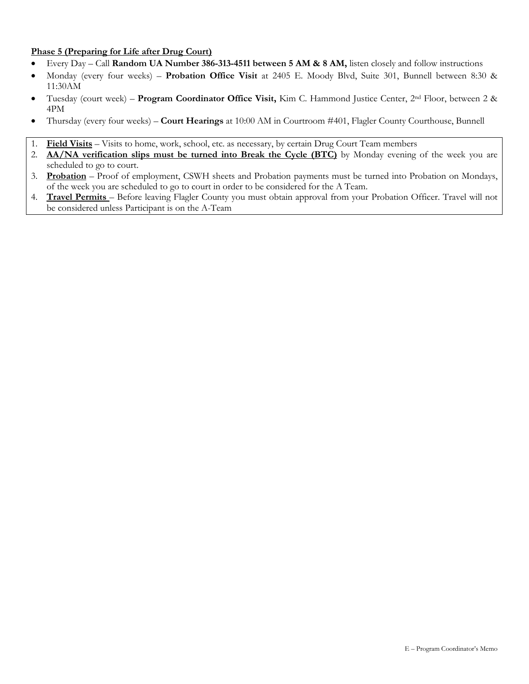#### **Phase 5 (Preparing for Life after Drug Court)**

- Every Day Call **Random UA Number 386-313-4511 between 5 AM & 8 AM,** listen closely and follow instructions
- Monday (every four weeks) **Probation Office Visit** at 2405 E. Moody Blvd, Suite 301, Bunnell between 8:30 & 11:30AM
- Tuesday (court week) **Program Coordinator Office Visit,** Kim C. Hammond Justice Center, 2nd Floor, between 2 & 4PM
- Thursday (every four weeks) **Court Hearings** at 10:00 AM in Courtroom #401, Flagler County Courthouse, Bunnell
- 1. **Field Visits** Visits to home, work, school, etc. as necessary, by certain Drug Court Team members
- 2. **AA/NA verification slips must be turned into Break the Cycle (BTC)** by Monday evening of the week you are scheduled to go to court.
- 3. **Probation** Proof of employment, CSWH sheets and Probation payments must be turned into Probation on Mondays, of the week you are scheduled to go to court in order to be considered for the A Team.
- 4. **Travel Permits**  Before leaving Flagler County you must obtain approval from your Probation Officer. Travel will not be considered unless Participant is on the A-Team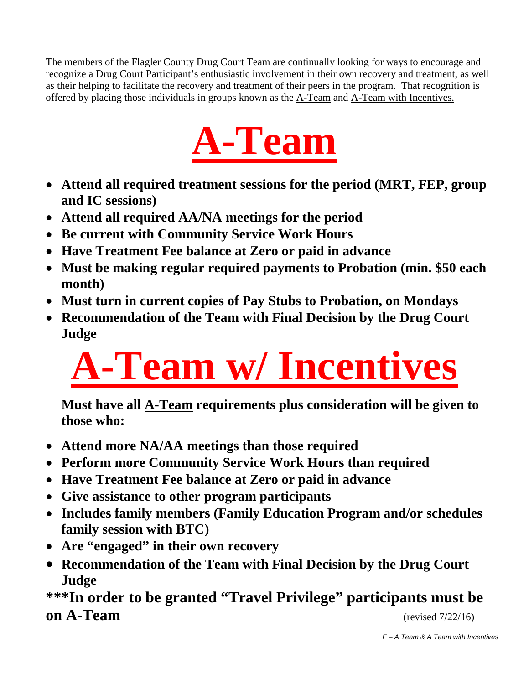The members of the Flagler County Drug Court Team are continually looking for ways to encourage and recognize a Drug Court Participant's enthusiastic involvement in their own recovery and treatment, as well as their helping to facilitate the recovery and treatment of their peers in the program. That recognition is offered by placing those individuals in groups known as the A-Team and A-Team with Incentives.



- **Attend all required treatment sessions for the period (MRT, FEP, group and IC sessions)**
- **Attend all required AA/NA meetings for the period**
- **Be current with Community Service Work Hours**
- **Have Treatment Fee balance at Zero or paid in advance**
- **Must be making regular required payments to Probation (min. \$50 each month)**
- **Must turn in current copies of Pay Stubs to Probation, on Mondays**
- **Recommendation of the Team with Final Decision by the Drug Court Judge**

# **A-Team w/ Incentives**

**Must have all A-Team requirements plus consideration will be given to those who:** 

- **Attend more NA/AA meetings than those required**
- **Perform more Community Service Work Hours than required**
- **Have Treatment Fee balance at Zero or paid in advance**
- **Give assistance to other program participants**
- **Includes family members (Family Education Program and/or schedules family session with BTC)**
- **Are "engaged" in their own recovery**
- **Recommendation of the Team with Final Decision by the Drug Court Judge**

**\*\*\*In order to be granted "Travel Privilege" participants must be on A-Team** (revised 7/22/16)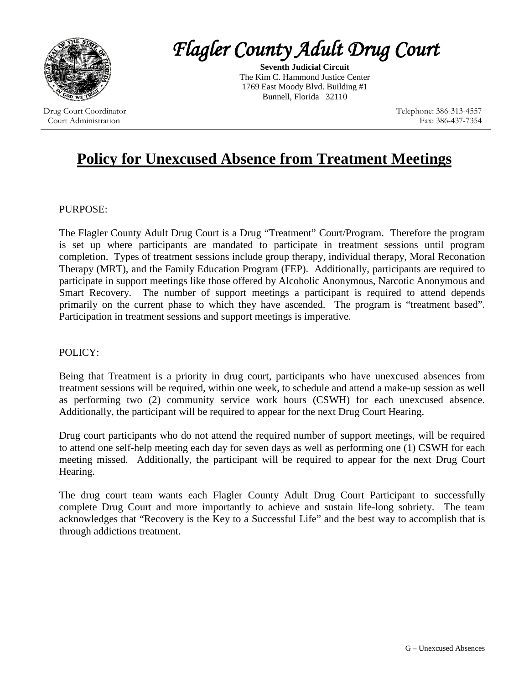

Drug Court Coordinator Court Administration

# *Flagler County Adult Drug Court*

**Seventh Judicial Circuit** The Kim C. Hammond Justice Center 1769 East Moody Blvd. Building #1 Bunnell, Florida 32110

> Telephone: 386-313-4557 Fax: 386-437-7354

# **Policy for Unexcused Absence from Treatment Meetings**

#### PURPOSE:

The Flagler County Adult Drug Court is a Drug "Treatment" Court/Program. Therefore the program is set up where participants are mandated to participate in treatment sessions until program completion. Types of treatment sessions include group therapy, individual therapy, Moral Reconation Therapy (MRT), and the Family Education Program (FEP). Additionally, participants are required to participate in support meetings like those offered by Alcoholic Anonymous, Narcotic Anonymous and Smart Recovery. The number of support meetings a participant is required to attend depends primarily on the current phase to which they have ascended. The program is "treatment based". Participation in treatment sessions and support meetings is imperative.

#### POLICY:

Being that Treatment is a priority in drug court, participants who have unexcused absences from treatment sessions will be required, within one week, to schedule and attend a make-up session as well as performing two (2) community service work hours (CSWH) for each unexcused absence. Additionally, the participant will be required to appear for the next Drug Court Hearing.

Drug court participants who do not attend the required number of support meetings, will be required to attend one self-help meeting each day for seven days as well as performing one (1) CSWH for each meeting missed. Additionally, the participant will be required to appear for the next Drug Court Hearing.

The drug court team wants each Flagler County Adult Drug Court Participant to successfully complete Drug Court and more importantly to achieve and sustain life-long sobriety. The team acknowledges that "Recovery is the Key to a Successful Life" and the best way to accomplish that is through addictions treatment.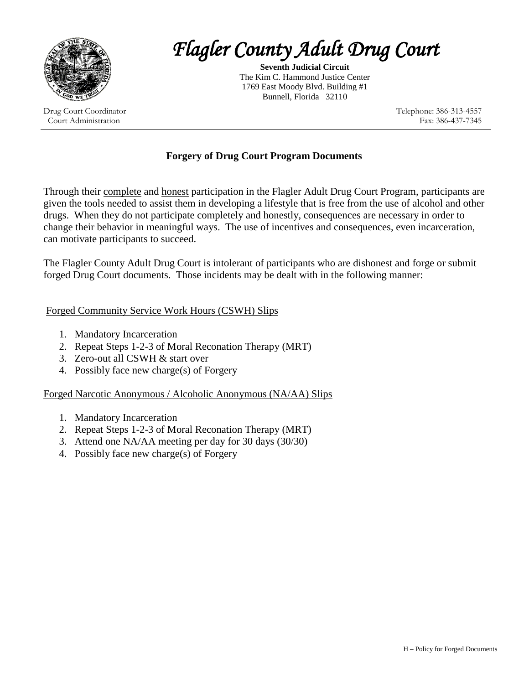

Drug Court Coordinator Court Administration

# *Flagler County Adult Drug Court*

**Seventh Judicial Circuit** The Kim C. Hammond Justice Center 1769 East Moody Blvd. Building #1 Bunnell, Florida 32110

> Telephone: 386-313-4557 Fax: 386-437-7345

#### **Forgery of Drug Court Program Documents**

Through their complete and honest participation in the Flagler Adult Drug Court Program, participants are given the tools needed to assist them in developing a lifestyle that is free from the use of alcohol and other drugs. When they do not participate completely and honestly, consequences are necessary in order to change their behavior in meaningful ways. The use of incentives and consequences, even incarceration, can motivate participants to succeed.

The Flagler County Adult Drug Court is intolerant of participants who are dishonest and forge or submit forged Drug Court documents. Those incidents may be dealt with in the following manner:

#### Forged Community Service Work Hours (CSWH) Slips

- 1. Mandatory Incarceration
- 2. Repeat Steps 1-2-3 of Moral Reconation Therapy (MRT)
- 3. Zero-out all CSWH & start over
- 4. Possibly face new charge(s) of Forgery

#### Forged Narcotic Anonymous / Alcoholic Anonymous (NA/AA) Slips

- 1. Mandatory Incarceration
- 2. Repeat Steps 1-2-3 of Moral Reconation Therapy (MRT)
- 3. Attend one NA/AA meeting per day for 30 days (30/30)
- 4. Possibly face new charge(s) of Forgery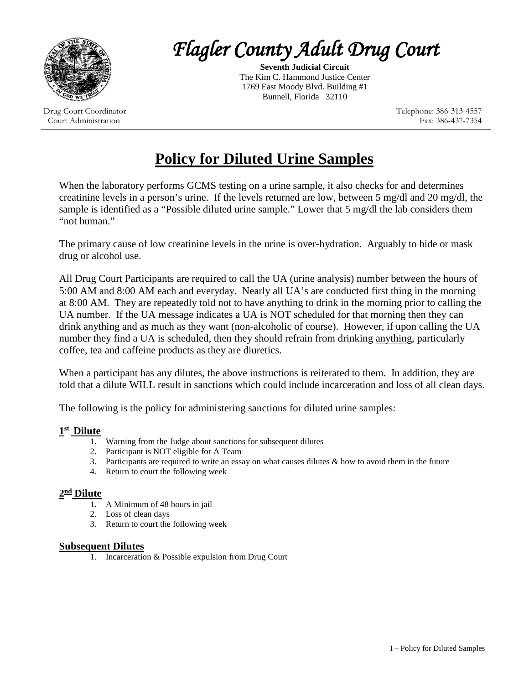

Drug Court Coordinator Court Administration

*Flagler County Adult Drug Court* 

**Seventh Judicial Circuit** The Kim C. Hammond Justice Center 1769 East Moody Blvd. Building #1 Bunnell, Florida 32110

> Telephone: 386-313-4557 Fax: 386-437-7354

# **Policy for Diluted Urine Samples**

When the laboratory performs GCMS testing on a urine sample, it also checks for and determines creatinine levels in a person's urine. If the levels returned are low, between 5 mg/dl and 20 mg/dl, the sample is identified as a "Possible diluted urine sample." Lower that 5 mg/dl the lab considers them "not human."

The primary cause of low creatinine levels in the urine is over-hydration. Arguably to hide or mask drug or alcohol use.

All Drug Court Participants are required to call the UA (urine analysis) number between the hours of 5:00 AM and 8:00 AM each and everyday. Nearly all UA's are conducted first thing in the morning at 8:00 AM. They are repeatedly told not to have anything to drink in the morning prior to calling the UA number. If the UA message indicates a UA is NOT scheduled for that morning then they can drink anything and as much as they want (non-alcoholic of course). However, if upon calling the UA number they find a UA is scheduled, then they should refrain from drinking anything, particularly coffee, tea and caffeine products as they are diuretics.

When a participant has any dilutes, the above instructions is reiterated to them. In addition, they are told that a dilute WILL result in sanctions which could include incarceration and loss of all clean days.

The following is the policy for administering sanctions for diluted urine samples:

- **1st Dilute** 1. Warning from the Judge about sanctions for subsequent dilutes
	- 2. Participant is NOT eligible for A Team
	- 3. Participants are required to write an essay on what causes dilutes  $\&$  how to avoid them in the future
	- 4. Return to court the following week

#### **2nd Dilute**

- $\overline{1}$ . A Minimum of 48 hours in jail
- 2. Loss of clean days
- 3. Return to court the following week

#### **Subsequent Dilutes**

1. Incarceration & Possible expulsion from Drug Court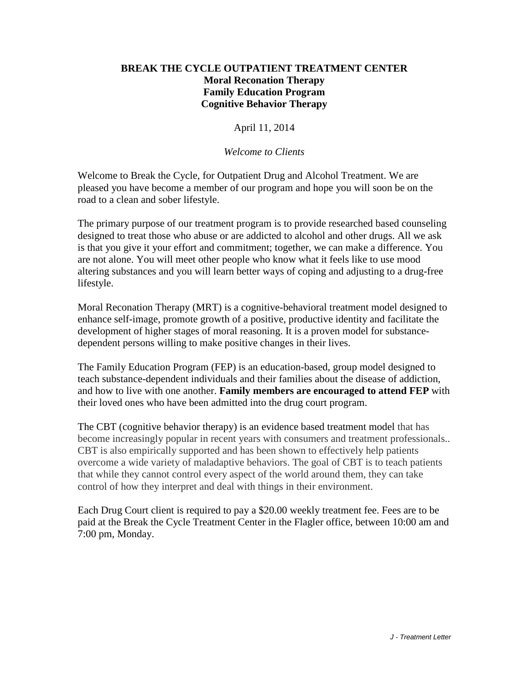#### **BREAK THE CYCLE OUTPATIENT TREATMENT CENTER Moral Reconation Therapy Family Education Program Cognitive Behavior Therapy**

April 11, 2014

#### *Welcome to Clients*

Welcome to Break the Cycle, for Outpatient Drug and Alcohol Treatment. We are pleased you have become a member of our program and hope you will soon be on the road to a clean and sober lifestyle.

The primary purpose of our treatment program is to provide researched based counseling designed to treat those who abuse or are addicted to alcohol and other drugs. All we ask is that you give it your effort and commitment; together, we can make a difference. You are not alone. You will meet other people who know what it feels like to use mood altering substances and you will learn better ways of coping and adjusting to a drug-free lifestyle.

Moral Reconation Therapy (MRT) is a cognitive-behavioral treatment model designed to enhance self-image, promote growth of a positive, productive identity and facilitate the development of higher stages of moral reasoning. It is a proven model for substancedependent persons willing to make positive changes in their lives.

The Family Education Program (FEP) is an education-based, group model designed to teach substance-dependent individuals and their families about the disease of addiction, and how to live with one another. **Family members are encouraged to attend FEP** with their loved ones who have been admitted into the drug court program.

The CBT (cognitive behavior therapy) is an evidence based treatment model that has become increasingly popular in recent years with consumers and treatment professionals.. CBT is also empirically supported and has been shown to effectively help patients overcome a wide variety of maladaptive behaviors. The goal of CBT is to teach patients that while they cannot control every aspect of the world around them, they can take control of how they interpret and deal with things in their environment.

Each Drug Court client is required to pay a \$20.00 weekly treatment fee. Fees are to be paid at the Break the Cycle Treatment Center in the Flagler office, between 10:00 am and 7:00 pm, Monday.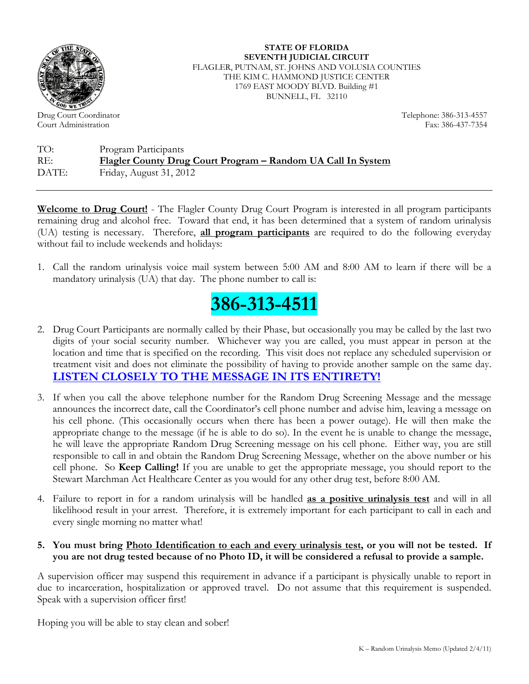

Drug Court Coordinator Court Administration

**STATE OF FLORIDA SEVENTH JUDICIAL CIRCUIT** FLAGLER, PUTNAM, ST. JOHNS AND VOLUSIA COUNTIES THE KIM C. HAMMOND JUSTICE CENTER 1769 EAST MOODY BLVD. Building #1 BUNNELL, FL 32110

> Telephone: 386-313-4557 Fax: 386-437-7354

TO: Program Participants RE: **Flagler County Drug Court Program – Random UA Call In System** DATE: Friday, August 31, 2012

**Welcome to Drug Court!** - The Flagler County Drug Court Program is interested in all program participants remaining drug and alcohol free. Toward that end, it has been determined that a system of random urinalysis (UA) testing is necessary. Therefore, **all program participants** are required to do the following everyday without fail to include weekends and holidays:

1. Call the random urinalysis voice mail system between 5:00 AM and 8:00 AM to learn if there will be a mandatory urinalysis (UA) that day. The phone number to call is:



- 2. Drug Court Participants are normally called by their Phase, but occasionally you may be called by the last two digits of your social security number. Whichever way you are called, you must appear in person at the location and time that is specified on the recording. This visit does not replace any scheduled supervision or treatment visit and does not eliminate the possibility of having to provide another sample on the same day. **LISTEN CLOSELY TO THE MESSAGE IN ITS ENTIRETY!**
- 3. If when you call the above telephone number for the Random Drug Screening Message and the message announces the incorrect date, call the Coordinator's cell phone number and advise him, leaving a message on his cell phone. (This occasionally occurs when there has been a power outage). He will then make the appropriate change to the message (if he is able to do so). In the event he is unable to change the message, he will leave the appropriate Random Drug Screening message on his cell phone. Either way, you are still responsible to call in and obtain the Random Drug Screening Message, whether on the above number or his cell phone. So **Keep Calling!** If you are unable to get the appropriate message, you should report to the Stewart Marchman Act Healthcare Center as you would for any other drug test, before 8:00 AM.
- 4. Failure to report in for a random urinalysis will be handled **as a positive urinalysis test** and will in all likelihood result in your arrest. Therefore, it is extremely important for each participant to call in each and every single morning no matter what!

#### **5. You must bring Photo Identification to each and every urinalysis test, or you will not be tested. If you are not drug tested because of no Photo ID, it will be considered a refusal to provide a sample.**

A supervision officer may suspend this requirement in advance if a participant is physically unable to report in due to incarceration, hospitalization or approved travel. Do not assume that this requirement is suspended. Speak with a supervision officer first!

Hoping you will be able to stay clean and sober!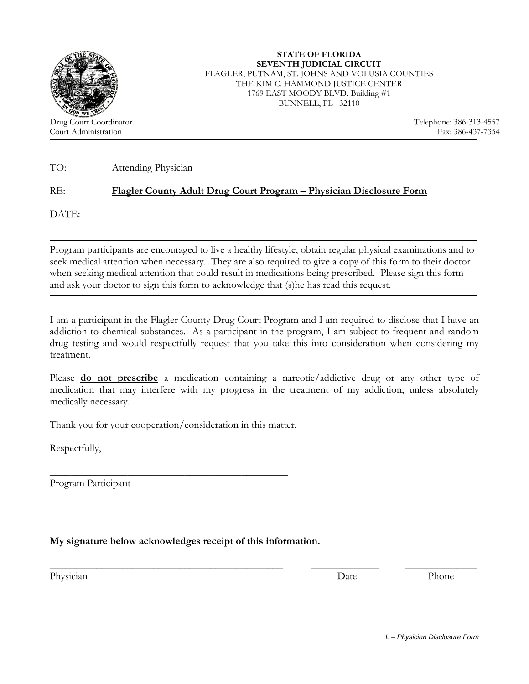

TO: Attending Physician

#### RE: **Flagler County Adult Drug Court Program – Physician Disclosure Form**

DATE:

Program participants are encouraged to live a healthy lifestyle, obtain regular physical examinations and to seek medical attention when necessary. They are also required to give a copy of this form to their doctor when seeking medical attention that could result in medications being prescribed. Please sign this form and ask your doctor to sign this form to acknowledge that (s)he has read this request.

I am a participant in the Flagler County Drug Court Program and I am required to disclose that I have an addiction to chemical substances. As a participant in the program, I am subject to frequent and random drug testing and would respectfully request that you take this into consideration when considering my treatment.

Please **do not prescribe** a medication containing a narcotic/addictive drug or any other type of medication that may interfere with my progress in the treatment of my addiction, unless absolutely medically necessary.

\_\_\_\_\_\_\_\_\_\_\_\_\_\_\_\_\_\_\_\_\_\_\_\_\_\_\_\_\_\_\_\_\_\_\_\_\_\_\_\_\_\_\_\_\_ \_\_\_\_\_\_\_\_\_\_\_\_\_ \_\_\_\_\_\_\_\_\_\_\_\_\_\_

Thank you for your cooperation/consideration in this matter.

\_\_\_\_\_\_\_\_\_\_\_\_\_\_\_\_\_\_\_\_\_\_\_\_\_\_\_\_\_\_\_\_\_\_\_\_\_\_\_\_\_\_\_\_\_\_

Respectfully,

1

Program Participant

#### **My signature below acknowledges receipt of this information.**

Physician Phone Phone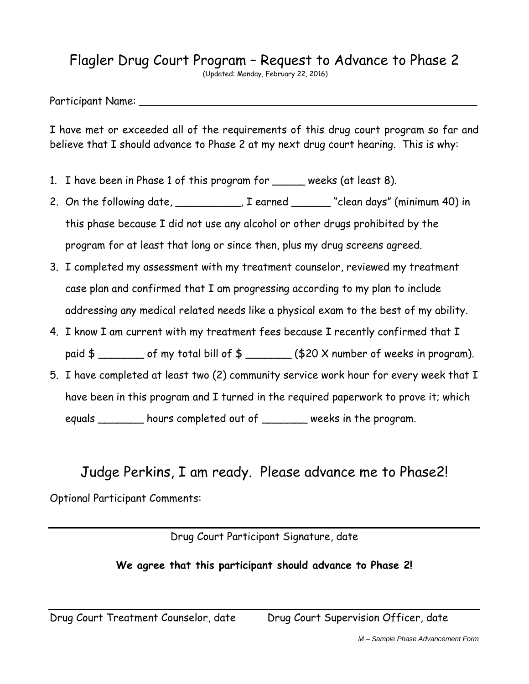# Flagler Drug Court Program – Request to Advance to Phase 2

(Updated: Monday, February 22, 2016)

Participant Name:

I have met or exceeded all of the requirements of this drug court program so far and believe that I should advance to Phase 2 at my next drug court hearing. This is why:

- 1. I have been in Phase 1 of this program for \_\_\_\_\_ weeks (at least 8).
- 2. On the following date, \_\_\_\_\_\_\_\_\_, I earned \_\_\_\_\_ "clean days" (minimum 40) in this phase because I did not use any alcohol or other drugs prohibited by the program for at least that long or since then, plus my drug screens agreed.
- 3. I completed my assessment with my treatment counselor, reviewed my treatment case plan and confirmed that I am progressing according to my plan to include addressing any medical related needs like a physical exam to the best of my ability.
- 4. I know I am current with my treatment fees because I recently confirmed that I paid  $\frac{1}{2}$  of my total bill of  $\frac{1}{2}$  \_\_\_\_\_\_\_ (\$20 X number of weeks in program).
- 5. I have completed at least two (2) community service work hour for every week that I have been in this program and I turned in the required paperwork to prove it; which equals \_\_\_\_\_\_\_ hours completed out of \_\_\_\_\_\_\_ weeks in the program.

# Judge Perkins, I am ready. Please advance me to Phase2!

Optional Participant Comments:

Drug Court Participant Signature, date

## **We agree that this participant should advance to Phase 2!**